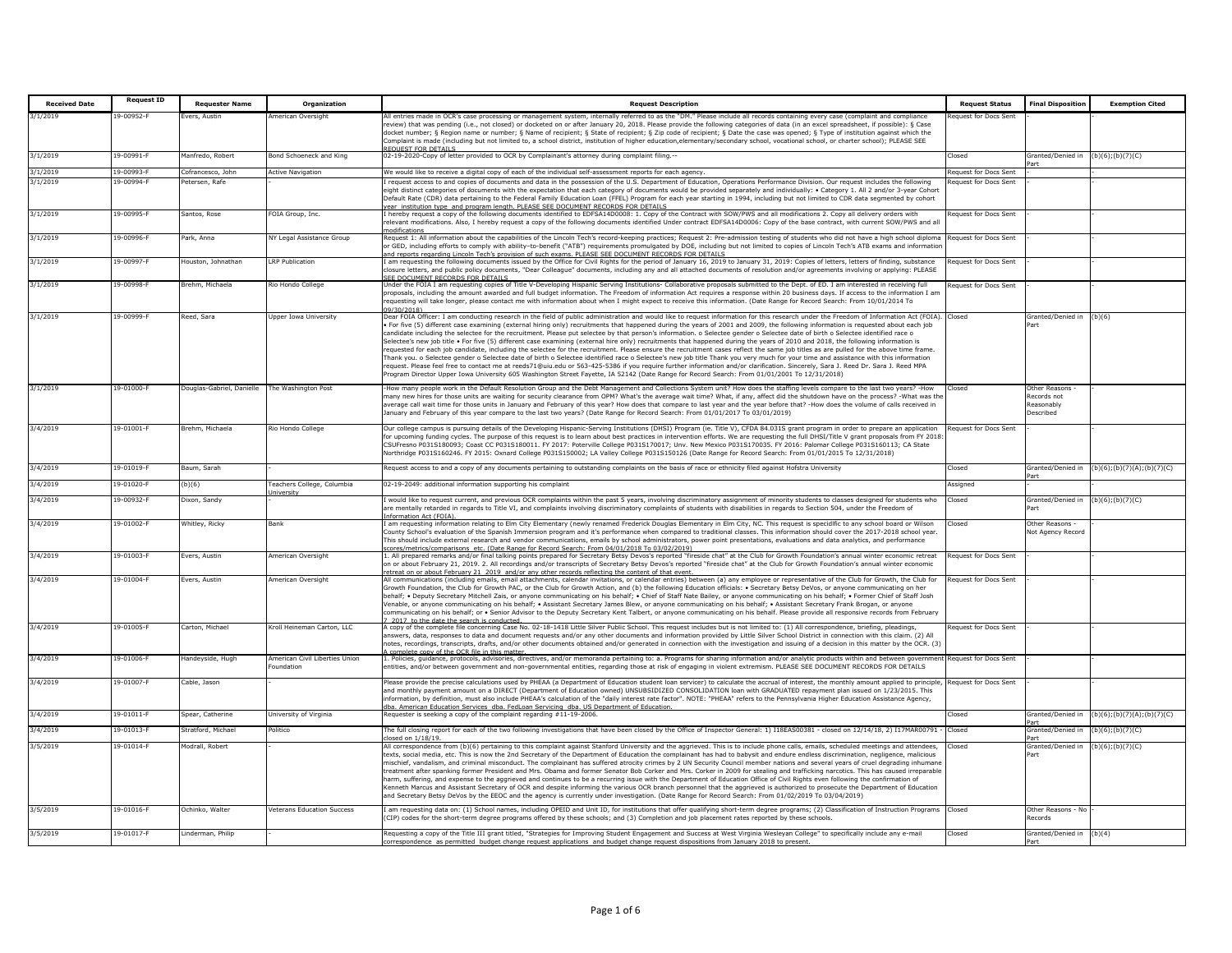| <b>Received Date</b> | <b>Request ID</b> | <b>Requester Name</b>                         | Organization                                | <b>Request Description</b>                                                                                                                                                                                                                                                                                                                                                                                                                                                                                                                                                                                                                                                                                                                                                                                                                                                                                                                                                                                                                                                                                                                                                                                                                                                                                                                                                                                                                                               | <b>Request Status</b>        | <b>Final Disposition</b>                                | <b>Exemption Cited</b>     |
|----------------------|-------------------|-----------------------------------------------|---------------------------------------------|--------------------------------------------------------------------------------------------------------------------------------------------------------------------------------------------------------------------------------------------------------------------------------------------------------------------------------------------------------------------------------------------------------------------------------------------------------------------------------------------------------------------------------------------------------------------------------------------------------------------------------------------------------------------------------------------------------------------------------------------------------------------------------------------------------------------------------------------------------------------------------------------------------------------------------------------------------------------------------------------------------------------------------------------------------------------------------------------------------------------------------------------------------------------------------------------------------------------------------------------------------------------------------------------------------------------------------------------------------------------------------------------------------------------------------------------------------------------------|------------------------------|---------------------------------------------------------|----------------------------|
| 3/1/2019             | 19-00952-F        | vers, Austin                                  | American Oversight                          | All entries made in OCR's case processing or management system, internally referred to as the "DM." Please include all records containing every case (complaint and compliance                                                                                                                                                                                                                                                                                                                                                                                                                                                                                                                                                                                                                                                                                                                                                                                                                                                                                                                                                                                                                                                                                                                                                                                                                                                                                           | equest for Docs Sent         |                                                         |                            |
|                      |                   |                                               |                                             | eview) that was pending (i.e., not closed) or docketed on or after January 20, 2018. Please provide the following categories of data (in an excel spreadsheet, if possible): § Case<br>docket number; § Region name or number; § Name of recipient; § State of recipient; § Zip code of recipient; § Date the case was opened; § Type of institution against which the<br>Complaint is made (including but not limited to, a school district, institution of higher education,elementary/secondary school, vocational school, or charter school); PLEASE SEE<br><b>OUEST FOR DETAILS</b>                                                                                                                                                                                                                                                                                                                                                                                                                                                                                                                                                                                                                                                                                                                                                                                                                                                                                 |                              |                                                         |                            |
| 3/1/2019             | 19-00991-F        | Manfredo, Robert                              | Bond Schoeneck and King                     | 02-19-2020-Copy of letter provided to OCR by Complainant's attorney during complaint filing.--                                                                                                                                                                                                                                                                                                                                                                                                                                                                                                                                                                                                                                                                                                                                                                                                                                                                                                                                                                                                                                                                                                                                                                                                                                                                                                                                                                           | Closed                       | Granted/Denied in                                       | (b)(6); (b)(7)(C)          |
| 3/1/2019             | 19-00993-F        | Cofrancesco, John                             | <b>Active Navigation</b>                    | We would like to receive a digital copy of each of the individual self-assessment reports for each agency.                                                                                                                                                                                                                                                                                                                                                                                                                                                                                                                                                                                                                                                                                                                                                                                                                                                                                                                                                                                                                                                                                                                                                                                                                                                                                                                                                               | Request for Docs Sent        |                                                         |                            |
| 3/1/2019             | 19-00994-F        | Petersen, Rafe                                |                                             | request access to and copies of documents and data in the possession of the U.S. Department of Education, Operations Performance Division. Our request includes the following<br>ight distinct categories of documents with the expectation that each category of documents would be provided separately and individually: • Category 1. All 2 and/or 3-year Cohort<br>efault Rate (CDR) data pertaining to the Federal Family Education Loan (FFEL) Program for each year starting in 1994, including but not limited to CDR data segmented by cohort<br>ear institution type and program length, PLEASE SEE DOCUMENT RECORDS FOR DETAILS                                                                                                                                                                                                                                                                                                                                                                                                                                                                                                                                                                                                                                                                                                                                                                                                                               | Request for Docs Sent        |                                                         |                            |
| 3/1/2019             | 19-00995-F        | Santos, Rose                                  | OIA Group, Inc.                             | hereby request a copy of the following documents identified to EDFSA14D0008: 1. Copy of the Contract with SOW/PWS and all modifications 2. Copy all delivery orders with<br>relevant modifications. Also, I hereby request a copy of the following documents identified Under contract EDFSA14D0006: Copy of the base contract, with current SOW/PWS and all<br>ndifications                                                                                                                                                                                                                                                                                                                                                                                                                                                                                                                                                                                                                                                                                                                                                                                                                                                                                                                                                                                                                                                                                             | lequest for Docs Sent        |                                                         |                            |
| 3/1/2019             | 19-00996-F        | Park, Anna                                    | VY Legal Assistance Group                   | Request 1: All information about the capabilities of the Lincoln Tech's record-keeping practices; Request 2: Pre-admission testing of students who did not have a high school diploma<br>or GED, including efforts to comply with ability-to-benefit ("ATB") requirements promulgated by DOE, including but not limited to copies of Lincoln Tech's ATB exams and informatior<br>nd reports regarding Lincoln Tech's provision of such exams. PLEASE SEE DOCUMENT RECORDS FOR DETAILS                                                                                                                                                                                                                                                                                                                                                                                                                                                                                                                                                                                                                                                                                                                                                                                                                                                                                                                                                                                    | Request for Docs Sent        |                                                         |                            |
| 3/1/2019             | 19-00997-F        | Houston, Johnathan                            | <b>LRP Publication</b>                      | am requesting the following documents issued by the Office for Civil Rights for the period of January 16, 2019 to January 31, 2019: Copies of letters, letters of finding, substance<br>losure letters, and public policy documents, "Dear Colleague" documents, including any and all attached documents of resolution and/or agreements involving or applying: PLEASE<br><b>FF DOCUMENT RECORDS FOR DETAILS</b>                                                                                                                                                                                                                                                                                                                                                                                                                                                                                                                                                                                                                                                                                                                                                                                                                                                                                                                                                                                                                                                        | Request for Docs Sent        |                                                         |                            |
| 3/1/2019             | 19-00998-F        | Brehm, Michaela                               | Rio Hondo College                           | Jnder the FOIA I am requesting copies of Title V-Developing Hispanic Serving Institutions- Collaborative proposals submitted to the Dept. of ED. I am interested in receiving full<br>roposals, including the amount awarded and full budget information. The Freedom of information Act requires a response within 20 business days. If access to the information I am<br>equesting will take longer, please contact me with information about when I might expect to receive this information. (Date Range for Record Search: From 10/01/2014 To                                                                                                                                                                                                                                                                                                                                                                                                                                                                                                                                                                                                                                                                                                                                                                                                                                                                                                                       | Request for Docs Sent        |                                                         |                            |
| 3/1/2019             | 19-00999-F        | Reed, Sara                                    | <b>Jpper Iowa University</b>                | Dear FOIA Officer: I am conducting research in the field of public administration and would like to request information for this research under the Freedom of Information Act (FOIA). Closed<br>For five (5) different case examining (external hiring only) recruitments that happened during the years of 2001 and 2009, the following information is requested about each job<br>candidate including the selectee for the recruitment. Please put selectee by that person's information. o Selectee gender o Selectee date of birth o Selectee identified race o<br>Selectee's new job title . For five (5) different case examining (external hire only) recruitments that happened during the years of 2010 and 2018, the following information is<br>equested for each job candidate, including the selectee for the recruitment. Please ensure the recruitment cases reflect the same job titles as are pulled for the above time frame.<br>Thank you. o Selectee gender o Selectee date of birth o Selectee identified race o Selectee's new job title Thank you very much for your time and assistance with this information<br>equest. Please feel free to contact me at reeds71@uiu.edu or 563-425-5386 if you require further information and/or clarification. Sincerely, Sara J. Reed Dr. Sara J. Reed MPA<br>rogram Director Upper Iowa University 605 Washington Street Fayette, IA 52142 (Date Range for Record Search: From 01/01/2001 To 12/31/2018) |                              | Granted/Denied in<br>'art                               | (b)(6)                     |
| 3/1/2019             | 19-01000-F        | Douglas-Gabriel, Danielle The Washington Post |                                             | -How many people work in the Default Resolution Group and the Debt Management and Collections System unit? How does the staffing levels compare to the last two years? -How<br>many new hires for those units are waiting for security clearance from OPM? What's the average wait time? What, if any, affect did the shutdown have on the process? -What was th<br>average call wait time for those units in January and February of this year? How does that compare to last year and the year before that? -How does the volume of calls received in<br>anuary and February of this year compare to the last two years? (Date Range for Record Search: From 01/01/2017 To 03/01/2019)                                                                                                                                                                                                                                                                                                                                                                                                                                                                                                                                                                                                                                                                                                                                                                                 | Closed                       | Other Reasons<br>Records not<br>Reasonably<br>Described |                            |
| 3/4/2019             | 19-01001-F        | Brehm, Michaela                               | Rio Hondo College                           | Our college campus is pursuing details of the Developing Hispanic-Serving Institutions (DHSI) Program (ie. Title V), CFDA 84.031S grant program in order to prepare an application<br>for upcoming funding cycles. The purpose of this request is to learn about best practices in intervention efforts. We are requesting the full DHSI/Title V grant proposals from FY 2018<br>CSUFresno P031S180093; Coast CC P031S180011. FY 2017: Poterville College P031S170017; Unv. New Mexico P031S170035. FY 2016: Palomar College P031S160113; CA State<br>Vorthridge P031S160246. FY 2015: Oxnard College P031S150002; LA Valley College P031S150126 (Date Range for Record Search: From 01/01/2015 To 12/31/2018)                                                                                                                                                                                                                                                                                                                                                                                                                                                                                                                                                                                                                                                                                                                                                           | Request for Docs Sent        |                                                         |                            |
| 3/4/2019             | 19-01019-F        | Baum, Sarah                                   |                                             | Request access to and a copy of any documents pertaining to outstanding complaints on the basis of race or ethnicity filed against Hofstra University                                                                                                                                                                                                                                                                                                                                                                                                                                                                                                                                                                                                                                                                                                                                                                                                                                                                                                                                                                                                                                                                                                                                                                                                                                                                                                                    | Closed                       | Granted/Denied in                                       | (b)(6)(b)(7)(A)(b)(7)(C)   |
| 3/4/2019             | 19-01020-F        | (b)(6)                                        | Feachers College, Columbia<br>niversity     | 02-19-2049: additional information supporting his complaint                                                                                                                                                                                                                                                                                                                                                                                                                                                                                                                                                                                                                                                                                                                                                                                                                                                                                                                                                                                                                                                                                                                                                                                                                                                                                                                                                                                                              | Assigned                     |                                                         |                            |
| 3/4/2019             | 19-00932-F        | Dixon, Sandy                                  |                                             | would like to request current, and previous OCR complaints within the past 5 years, involving discriminatory assignment of minority students to classes designed for students who<br>are mentally retarded in regards to Title VI, and complaints involving discriminatory complaints of students with disabilities in regards to Section 504, under the Freedom of<br>formation Act (FOIA).                                                                                                                                                                                                                                                                                                                                                                                                                                                                                                                                                                                                                                                                                                                                                                                                                                                                                                                                                                                                                                                                             | Closed                       | Granted/Denied in<br>art                                | (b)(6); (b)(7)(C)          |
| 3/4/2019             | 19-01002-F        | Whitley, Ricky                                | Bank                                        | I am requesting information relating to Elm City Elementary (newly renamed Frederick Douglas Elementary in Elm City, NC. This request is specidific to any school board or Wilson<br>County School's evaluation of the Spanish Immersion program and it's performance when compared to traditional classes. This information should cover the 2017-2018 school year.<br>This should include external research and vendor communications, emails by school administrators, power point presentations, evaluations and data analytics, and performance<br>ores/metrics/comparisons_etc. (Date Range for Record Search: From 04/01/2018 To 03/02/2019)                                                                                                                                                                                                                                                                                                                                                                                                                                                                                                                                                                                                                                                                                                                                                                                                                      | Closed                       | Other Reasons -<br><b>Not Agency Record</b>             |                            |
| 3/4/2019             | 19-01003-F        | vers, Austin                                  | <b>Imerican Oversight</b>                   | . All prepared remarks and/or final talking points prepared for Secretary Betsy Devos's reported "fireside chat" at the Club for Growth Foundation's annual winter economic retreat<br>on or about February 21, 2019. 2. All recordings and/or transcripts of Secretary Betsy Devos's reported "fireside chat" at the Club for Growth Foundation's annual winter economic<br>treat on or about February 21 2019 and/or any other records reflecting the content of that event.                                                                                                                                                                                                                                                                                                                                                                                                                                                                                                                                                                                                                                                                                                                                                                                                                                                                                                                                                                                           | <b>Request for Docs Sent</b> |                                                         |                            |
| 3/4/2019             | 19-01004-F        | Evers, Austin                                 | American Oversight                          | All communications (including emails, email attachments, calendar invitations, or calendar entries) between (a) any employee or representative of the Club for Growth, the Club for<br>Growth Foundation, the Club for Growth PAC, or the Club for Growth Action, and (b) the following Education officials: . Secretary Betsy DeVos, or anyone communicating on her<br>ehalf; . Deputy Secretary Mitchell Zais, or anyone communicating on his behalf; . Chief of Staff Nate Bailey, or anyone communicating on his behalf; . Former Chief of Staff Josh<br>Venable, or anyone communicating on his behalf: • Assistant Secretary James Blew, or anyone communicating on his behalf: • Assistant Secretary Frank Brogan, or anyone<br>ommunicating on his behalf; or . Senior Advisor to the Deputy Secretary Kent Talbert, or anyone communicating on his behalf. Please provide all responsive records from February<br>2017 to the date the search is conducted                                                                                                                                                                                                                                                                                                                                                                                                                                                                                                      | <b>Request for Docs Sent</b> |                                                         |                            |
| 3/4/2019             | 19-01005-F        | Carton, Michael                               | Kroll Heineman Carton, LLC                  | A copy of the complete file concerning Case No. 02-18-1418 Little Silver Public School. This request includes but is not limited to: (1) All correspondence, briefing, pleadings,<br>iswers, data, responses to data and document requests and/or any other documents and information provided by Little Silver School District in connection with this claim. (2) All<br>rotes, recordings, transcripts, drafts, and/or other documents obtained and/or generated in connection with the investigation and issuing of a decision in this matter by the OCR. (3)<br>complete copy of the OCR file in this matter                                                                                                                                                                                                                                                                                                                                                                                                                                                                                                                                                                                                                                                                                                                                                                                                                                                         | lequest for Docs Sent        |                                                         |                            |
| 3/4/2019             | 19-01006-F        | Handeyside, Hugh                              | American Civil Liberties Union<br>oundation | . Policies, guidance, protocols, advisories, directives, and/or memoranda pertaining to: a. Programs for sharing information and/or analytic products within and between government<br>entities, and/or between government and non-governmental entities, regarding those at risk of engaging in violent extremism. PLEASE SEE DOCUMENT RECORDS FOR DETAILS                                                                                                                                                                                                                                                                                                                                                                                                                                                                                                                                                                                                                                                                                                                                                                                                                                                                                                                                                                                                                                                                                                              | Request for Docs Sent        |                                                         |                            |
| 3/4/2019             | 19-01007-F        | Cable, Jason                                  |                                             | Please provide the precise calculations used by PHEAA (a Department of Education student loan servicer) to calculate the accrual of interest, the monthly amount applied to principle,<br>and monthly payment amount on a DIRECT (Department of Education owned) UNSUBSIDIZED CONSOLIDATION loan with GRADUATED repayment plan issued on 1/23/2015. This<br>information, by definition, must also include PHEAA's calculation of the "daily interest rate factor". NOTE: "PHEAA" refers to the Pennsylvania Higher Education Assistance Agency,<br>a. American Education Services dba. FedLoan Servicing dba. US Department of Education                                                                                                                                                                                                                                                                                                                                                                                                                                                                                                                                                                                                                                                                                                                                                                                                                                 | Request for Docs Sent        |                                                         |                            |
| 3/4/2019             | 19-01011-F        | Spear, Catherine                              | University of Virginia                      | Requester is seeking a copy of the complaint regarding #11-19-2006.                                                                                                                                                                                                                                                                                                                                                                                                                                                                                                                                                                                                                                                                                                                                                                                                                                                                                                                                                                                                                                                                                                                                                                                                                                                                                                                                                                                                      | Closed                       | <b>Sranted/Denied in</b>                                | (b)(6);(b)(7)(A);(b)(7)(C) |
| 3/4/2019             | 19-01013-F        | Stratford, Michael                            | <b>Politico</b>                             | The full closing report for each of the two following investigations that have been closed by the Office of Inspector General: 1) I18EAS00381 - closed on 12/14/18, 2) I17MAR00791 -                                                                                                                                                                                                                                                                                                                                                                                                                                                                                                                                                                                                                                                                                                                                                                                                                                                                                                                                                                                                                                                                                                                                                                                                                                                                                     | Closed                       | Granted/Denied in                                       | (b)(6);(b)(7)(C)           |
| 3/5/2019             | 19-01014-F        | <b>Modrall, Robert</b>                        |                                             | osed on 1/18/19.<br>All correspondence from (b)(6) pertaining to this complaint against Stanford University and the aggrieved. This is to include phone calls, emails, scheduled meetings and attendees,<br>texts, social media, etc. This is now the 2nd Secretary of the Department of Education the complainant has had to babysit and endure endless discrimination, negligence, malicious<br>nischief, vandalism, and criminal misconduct. The complainant has suffered atrocity crimes by 2 UN Security Council member nations and several years of cruel degrading inhumane<br>treatment after spanking former President and Mrs. Obama and former Senator Bob Corker and Mrs. Corker in 2009 for stealing and trafficking narcotics. This has caused irreparable<br>harm, suffering, and expense to the aggrieved and continues to be a recurring issue with the Department of Education Office of Civil Rights even following the confirmation of<br>Cenneth Marcus and Assistant Secretary of OCR and despite informing the various OCR branch personnel that the aggrieved is authorized to prosecute the Department of Education<br>and Secretary Betsy DeVos by the EEOC and the agency is currently under investigation. (Date Range for Record Search: From 01/02/2019 To 03/04/2019)                                                                                                                                                                     | Closed                       | Granted/Denied in<br>Part                               | $(b)(6)$ ; $(b)(7)(C)$     |
| 3/5/2019             | 19-01016-F        | Ochinko, Walter                               | <b>Veterans Education Success</b>           | [am requesting data on: (1) School names, including OPEID and Unit ID, for institutions that offer qualifying short-term degree programs; (2) Classification of Instruction Programs [Closed]<br>CIP) codes for the short-term degree programs offered by these schools; and (3) Completion and job placement rates reported by these schools.                                                                                                                                                                                                                                                                                                                                                                                                                                                                                                                                                                                                                                                                                                                                                                                                                                                                                                                                                                                                                                                                                                                           |                              | Other Reasons - No<br>Records                           |                            |
| 3/5/2019             | 19-01017-F        | Linderman, Philip                             |                                             | Requesting a copy of the Title III grant titled, "Strategies for Improving Student Engagement and Success at West Virginia Wesleyan College" to specifically include any e-mail<br>prespondence as permitted budget change request applications and budget change request dispositions from January 2018 to present                                                                                                                                                                                                                                                                                                                                                                                                                                                                                                                                                                                                                                                                                                                                                                                                                                                                                                                                                                                                                                                                                                                                                      | Closed                       | Granted/Denied in                                       | (b)(4)                     |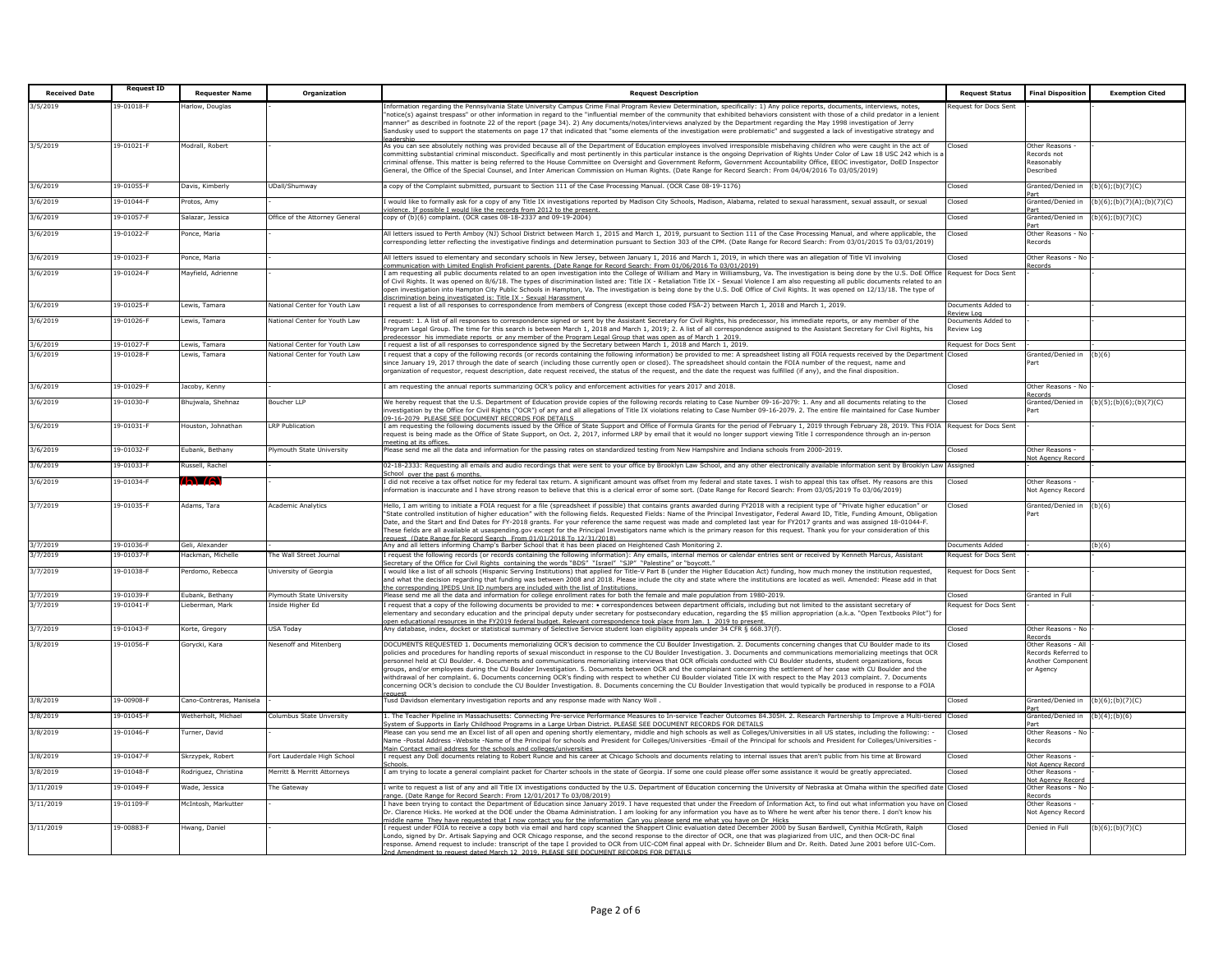| <b>Received Date</b> | <b>Request ID</b>            | <b>Requester Name</b>                                                                                                                                                                                                                                                     | Organization                                                   | <b>Request Description</b>                                                                                                                                                                                                                                                                                                                                                                                                                                                                                                                                                                                                                                                                                                                                                                                                                                                                                                                                                                                                                                                     | <b>Request Status</b>                   | <b>Final Disposition</b>                                                  | <b>Exemption Cited</b>    |
|----------------------|------------------------------|---------------------------------------------------------------------------------------------------------------------------------------------------------------------------------------------------------------------------------------------------------------------------|----------------------------------------------------------------|--------------------------------------------------------------------------------------------------------------------------------------------------------------------------------------------------------------------------------------------------------------------------------------------------------------------------------------------------------------------------------------------------------------------------------------------------------------------------------------------------------------------------------------------------------------------------------------------------------------------------------------------------------------------------------------------------------------------------------------------------------------------------------------------------------------------------------------------------------------------------------------------------------------------------------------------------------------------------------------------------------------------------------------------------------------------------------|-----------------------------------------|---------------------------------------------------------------------------|---------------------------|
| /5/2019              | 19-01018-F                   | arlow, Douglas                                                                                                                                                                                                                                                            |                                                                | nformation regarding the Pennsylvania State University Campus Crime Final Program Review Determination, specifically: 1) Any police reports, documents, interviews, notes,                                                                                                                                                                                                                                                                                                                                                                                                                                                                                                                                                                                                                                                                                                                                                                                                                                                                                                     | equest for Docs Sent                    |                                                                           |                           |
|                      |                              |                                                                                                                                                                                                                                                                           |                                                                | notice(s) against trespass" or other information in regard to the "influential member of the community that exhibited behaviors consistent with those of a child predator in a lenient<br>manner" as described in footnote 22 of the report (page 34). 2) Any documents/notes/interviews analyzed by the Department regarding the May 1998 investigation of Jerry<br>Sandusky used to support the statements on page 17 that indicated that "some elements of the investigation were problematic" and suggested a lack of investigative strategy and                                                                                                                                                                                                                                                                                                                                                                                                                                                                                                                           |                                         |                                                                           |                           |
| 3/5/2019             | 19-01021-F                   | Modrall, Robert                                                                                                                                                                                                                                                           |                                                                | As you can see absolutely nothing was provided because all of the Department of Education employees involved irresponsible misbehaving children who were caught in the act of<br>mmitting substantial criminal misconduct. Specifically and most pertinently in this particular instance is the ongoing Deprivation of Rights Under Color of Law 18 USC 242 which is<br>riminal offense. This matter is being referred to the House Committee on Oversight and Government Reform, Government Accountability Office, EEOC investigator, DoED Inspector<br>Seneral, the Office of the Special Counsel, and Inter American Commission on Human Rights. (Date Range for Record Search: From 04/04/2016 To 03/05/2019)                                                                                                                                                                                                                                                                                                                                                              | Closed                                  | Other Reasons<br>Records not<br>Reasonably<br>Described                   |                           |
| 3/6/2019             | 19-01055-                    | Javis, Kimberly                                                                                                                                                                                                                                                           | UDall/Shumway                                                  | copy of the Complaint submitted, pursuant to Section 111 of the Case Processing Manual. (OCR Case 08-19-1176)                                                                                                                                                                                                                                                                                                                                                                                                                                                                                                                                                                                                                                                                                                                                                                                                                                                                                                                                                                  | Closed                                  | Granted/Denied in                                                         | $(b)(6)$ ; (b)(7)(C)      |
| 3/6/2019             | 19-01044-1                   | rotos, Amy                                                                                                                                                                                                                                                                |                                                                | would like to formally ask for a copy of any Title IX investigations reported by Madison City Schools, Madison, Alabama, related to sexual harassment, sexual assault, or sexual<br>iolence. If possible I would like the records from 2012 to the present                                                                                                                                                                                                                                                                                                                                                                                                                                                                                                                                                                                                                                                                                                                                                                                                                     | losed                                   | Part<br>Granted/Denied in<br>Part                                         | b)(6);(b)(7)(A);(b)(7)(C) |
| 3/6/2019             | 19-01057-1                   | alazar, Jessica                                                                                                                                                                                                                                                           | Office of the Attorney General                                 | copy of (b)(6) complaint. (OCR cases 08-18-2337 and 09-19-2004)                                                                                                                                                                                                                                                                                                                                                                                                                                                                                                                                                                                                                                                                                                                                                                                                                                                                                                                                                                                                                | losed                                   | Granted/Denied in<br>Part                                                 | $b)(6)$ ;(b)(7)(C)        |
| 3/6/2019             | 19-01022-F                   | once, Maria                                                                                                                                                                                                                                                               |                                                                | All letters issued to Perth Amboy (NJ) School District between March 1, 2015 and March 1, 2019, pursuant to Section 111 of the Case Processing Manual, and where applicable, the<br>corresponding letter reflecting the investigative findings and determination pursuant to Section 303 of the CPM. (Date Range for Record Search: From 03/01/2015 To 03/01/2019)                                                                                                                                                                                                                                                                                                                                                                                                                                                                                                                                                                                                                                                                                                             | Closed                                  | Other Reasons - No<br>Records                                             |                           |
| 3/6/2019             | 19-01023-F                   | Ponce, Maria                                                                                                                                                                                                                                                              |                                                                | All letters issued to elementary and secondary schools in New Jersey, between January 1, 2016 and March 1, 2019, in which there was an allegation of Title VI involving<br>mmunication with Limited English Proficient parents. (Date Range for Record Search: From 01/06/2016 To 03/01/2019)                                                                                                                                                                                                                                                                                                                                                                                                                                                                                                                                                                                                                                                                                                                                                                                  | Closed                                  | Other Reasons - No<br>ecords                                              |                           |
| 3/6/2019             | 19-01024-                    | Mayfield, Adrienne                                                                                                                                                                                                                                                        |                                                                | am requesting all public documents related to an open investigation into the College of William and Mary in Williamsburg, Va. The investigation is being done by the U.S. DoE Office<br>f Civil Rights. It was opened on 8/6/18. The types of discrimination listed are: Title IX - Retaliation Title IX - Sexual Violence I am also requesting all public documents related to an<br>open investigation into Hampton City Public Schools in Hampton, Va. The investigation is being done by the U.S. DoE Office of Civil Rights. It was opened on 12/13/18. The type of<br>scrimination being investigated is: Title IX - Sexual Harassment                                                                                                                                                                                                                                                                                                                                                                                                                                   | equest for Docs Sent                    |                                                                           |                           |
| 3/6/2019             | 19-01025-                    | ewis, Tamara                                                                                                                                                                                                                                                              | <b>National Center for Youth Law</b>                           | request a list of all responses to correspondence from members of Congress (except those coded FSA-2) between March 1, 2018 and March 1, 2019.                                                                                                                                                                                                                                                                                                                                                                                                                                                                                                                                                                                                                                                                                                                                                                                                                                                                                                                                 | Documents Added to<br><b>Review Log</b> |                                                                           |                           |
| 3/6/2019             | $19 - 01026 -$               | ewis, Tamara                                                                                                                                                                                                                                                              | <b>Vational Center for Youth Law</b>                           | request: 1. A list of all responses to correspondence signed or sent by the Assistant Secretary for Civil Rights, his predecessor, his immediate reports, or any member of the<br>rogram Legal Group. The time for this search is between March 1, 2018 and March 1, 2019; 2. A list of all correspondence assigned to the Assistant Secretary for Civil Rights, his<br>or the contract of the Program Legal Group that was open as of March 1 2019.<br>In request a list of all responses to correspondence signed by the Secretary between March 1, 2019. The quest a list of all responses to correspo                                                                                                                                                                                                                                                                                                                                                                                                                                                                      | Oocuments Added to<br>Review Loa        |                                                                           |                           |
| 3/6/2019<br>/6/2019  | 19-01027-F<br>19-01028-      | Lewis, Tamara<br>ewis, Tamara                                                                                                                                                                                                                                             | National Center for Youth Law<br>National Center for Youth Law | request that a copy of the following records (or records containing the following information) be provided to me: A spreadsheet listing all FOIA requests received by the Department                                                                                                                                                                                                                                                                                                                                                                                                                                                                                                                                                                                                                                                                                                                                                                                                                                                                                           | Request for Docs Sent<br>Closed         | Granted/Denied in                                                         | (b)(6)                    |
|                      |                              |                                                                                                                                                                                                                                                                           |                                                                | ince January 19, 2017 through the date of search (including those currently open or closed). The spreadsheet should contain the FOIA number of the request, name and<br>rganization of requestor, request description, date request received, the status of the request, and the date the request was fulfilled (if any), and the final disposition.                                                                                                                                                                                                                                                                                                                                                                                                                                                                                                                                                                                                                                                                                                                           |                                         | Part                                                                      |                           |
| 3/6/2019             | 19-01029-                    | Jacoby, Kenny                                                                                                                                                                                                                                                             |                                                                | am requesting the annual reports summarizing OCR's policy and enforcement activities for years 2017 and 2018.                                                                                                                                                                                                                                                                                                                                                                                                                                                                                                                                                                                                                                                                                                                                                                                                                                                                                                                                                                  | Closed                                  | Other Reasons - No<br>Records                                             |                           |
| 3/6/2019             | 19-01030-                    | hujwala, Shehnaz                                                                                                                                                                                                                                                          | <b>Boucher LLP</b>                                             | We hereby request that the U.S. Department of Education provide copies of the following records relating to Case Number 09-16-2079: 1. Any and all documents relating to the<br>nvestigation by the Office for Civil Rights ("OCR") of any and all allegations of Title IX violations relating to Case Number 09-16-2079. 2. The entire file maintained for Case Number<br>16-2079 PLEASE SEE DOCUMENT RECORDS FOR DETAILS                                                                                                                                                                                                                                                                                                                                                                                                                                                                                                                                                                                                                                                     | losed:                                  | Granted/Denied in<br>art                                                  | (b)(5); (b)(6); (b)(7)(C) |
| 3/6/2019             | 19-01031-F                   | louston, Johnathan                                                                                                                                                                                                                                                        | <b>LRP Publication</b>                                         | am requesting the following documents issued by the Office of State Support and Office of Formula Grants for the period of February 1, 2019 through February 28, 2019. This FOIA Request for Docs Sent<br>equest is being made as the Office of State Support, on Oct. 2, 2017, informed LRP by email that it would no longer support viewing Title I correspondence through an in-person<br>eeting at its offices                                                                                                                                                                                                                                                                                                                                                                                                                                                                                                                                                                                                                                                             |                                         |                                                                           |                           |
| 3/6/2019             | 19-01032-F                   | Eubank, Bethany                                                                                                                                                                                                                                                           | <b>Iymouth State University</b>                                | Please send me all the data and information for the passing rates on standardized testing from New Hampshire and Indiana schools from 2000-2019.                                                                                                                                                                                                                                                                                                                                                                                                                                                                                                                                                                                                                                                                                                                                                                                                                                                                                                                               | Closed                                  | Other Reasons -<br>Not Agency Recor                                       |                           |
| /6/2019              | 19-01033-F                   | lussell, Rachel                                                                                                                                                                                                                                                           |                                                                | 02-18-2333: Requesting all emails and audio recordings that were sent to your office by Brooklyn Law School, and any other electronically available information sent by Brooklyn Law<br>chool over the past 6 months.                                                                                                                                                                                                                                                                                                                                                                                                                                                                                                                                                                                                                                                                                                                                                                                                                                                          | Assigned                                |                                                                           |                           |
| 3/6/2019             | $19 - 01034 -$               | h'(s)                                                                                                                                                                                                                                                                     |                                                                | did not receive a tax offset notice for my federal tax return. A significant amount was offset from my federal and state taxes. I wish to appeal this tax offset. My reasons are this<br>nformation is inaccurate and I have strong reason to believe that this is a clerical error of some sort. (Date Range for Record Search: From 03/05/2019 To 03/06/2019)                                                                                                                                                                                                                                                                                                                                                                                                                                                                                                                                                                                                                                                                                                                | Closed                                  | Other Reasons -<br>Not Agency Record                                      |                           |
| 3/7/2019             | 19-01035-F                   | Adams, Tara                                                                                                                                                                                                                                                               | <b>Academic Analytics</b>                                      | Hello, I am writing to initiate a FOIA request for a file (spreadsheet if possible) that contains grants awarded during FY2018 with a recipient type of "Private higher education" or<br>'State controlled institution of higher education" with the following fields. Requested Fields: Name of the Principal Investigator, Federal Award ID, Title, Funding Amount, Obligation<br>Date, and the Start and End Dates for FY-2018 grants. For your reference the same request was made and completed last year for FY2017 grants and was assigned 18-01044-F.<br>These fields are all available at usaspending gov except for the Principal Investigators name which is the primary reason for this request. Thank you for your consideration of this<br>uest (Date Range for Record Search From 01/01/2018 To 12/31/2018)                                                                                                                                                                                                                                                     | Closed                                  | Granted/Denied in<br>Part                                                 | (b)(6)                    |
| 3/7/2019             | 19-01036-<br>19-01037-       | Geli, Alexander                                                                                                                                                                                                                                                           |                                                                | Any and all letters informing Champ's Barber School that it has been placed on Heightened Cash Monitoring 2.                                                                                                                                                                                                                                                                                                                                                                                                                                                                                                                                                                                                                                                                                                                                                                                                                                                                                                                                                                   | Documents Added                         |                                                                           | (b)(6)                    |
| 3/7/2019             |                              | ackman, Michelle                                                                                                                                                                                                                                                          | The Wall Street Journal                                        | request the following records (or records containing the following information): Any emails, internal memos or calendar entries sent or received by Kenneth Marcus, Assistant<br>cretary of the Office for Civil Rights containing the words "BDS" "Israel" "SJP" "Palestine" or "boycott."                                                                                                                                                                                                                                                                                                                                                                                                                                                                                                                                                                                                                                                                                                                                                                                    | <b>Request for Docs Sent</b>            |                                                                           |                           |
| 3/7/2019             | 19-01038-                    | erdomo, Rebecca                                                                                                                                                                                                                                                           | University of Georgia                                          | would like a list of all schools (Hispanic Serving Institutions) that applied for Title-V Part B (under the Higher Education Act) funding, how much money the institution requested,<br>and what the decision regarding that funding was between 2008 and 2018. Please include the city and state where the institutions are located as well. Amended: Please add in that<br>he corresponding IPEDS Unit ID numbers are included with the list of Institutions.                                                                                                                                                                                                                                                                                                                                                                                                                                                                                                                                                                                                                | equest for Docs Sent                    |                                                                           |                           |
| /7/2019<br>3/7/2019  | 19-01039-F<br>$19 - 01041 -$ | ubank, Bethany<br>eherman, Mark                                                                                                                                                                                                                                           | Plymouth State University<br>nside Higher Ed                   | Please send me all the data and information for college enrollment rates for both the female and male population from 1980-2019.<br>request that a copy of the following documents be provided to me: . correspondences between department officials, including but not limited to the assistant secretary of                                                                                                                                                                                                                                                                                                                                                                                                                                                                                                                                                                                                                                                                                                                                                                  | Closed<br>quest for Docs Sent           | Granted in Full                                                           |                           |
|                      |                              |                                                                                                                                                                                                                                                                           |                                                                | lementary and secondary education and the principal deputy under secretary for postsecondary education, regarding the \$5 million appropriation (a.k.a. "Open Textbooks Pilot") for<br>pen educational resources in the FY2019 federal budget. Relevant correspondence took place from Jan. 1 2019 to present                                                                                                                                                                                                                                                                                                                                                                                                                                                                                                                                                                                                                                                                                                                                                                  |                                         |                                                                           |                           |
| 3/7/2019             | 19-01043-1                   | <orte, gregory<="" td=""><td><b>USA Today</b></td><td>iny database, index, docket or statistical summary of Selective Service student loan eligibility appeals under 34 CFR § 668.37(f)</td><td>losed</td><td>Other Reasons - No<br/><b>Records</b></td><td></td></orte,> | <b>USA Today</b>                                               | iny database, index, docket or statistical summary of Selective Service student loan eligibility appeals under 34 CFR § 668.37(f)                                                                                                                                                                                                                                                                                                                                                                                                                                                                                                                                                                                                                                                                                                                                                                                                                                                                                                                                              | losed                                   | Other Reasons - No<br><b>Records</b>                                      |                           |
| 3/8/2019             | 19-01056-F                   | Gorvcki, Kara                                                                                                                                                                                                                                                             | <b>Nesenoff and Mitenberg</b>                                  | OCUMENTS REQUESTED 1. Documents memorializing OCR's decision to commence the CU Boulder Investigation. 2. Documents concerning changes that CU Boulder made to its<br>oolicies and procedures for handling reports of sexual misconduct in response to the CU Boulder Investigation. 3. Documents and communications memorializing meetings that OCR<br>bersonnel held at CU Boulder, 4, Documents and communications memorializing interviews that OCR officials conducted with CU Boulder students, student organizations, focus<br>roups, and/or employees during the CU Boulder Investigation. 5. Documents between OCR and the complainant concerning the settlement of her case with CU Boulder and the<br>ithdrawal of her complaint. 6. Documents concerning OCR's finding with respect to whether CU Boulder violated Title IX with respect to the May 2013 complaint. 7. Documents<br>oncerning OCR's decision to conclude the CU Boulder Investigation. 8. Documents concerning the CU Boulder Investigation that would typically be produced in response to a FOIA | losed                                   | Other Reasons - A<br>Records Referred to<br>Another Componen<br>or Agency |                           |
| 3/8/2019             | 19-00908-                    | Cano-Contreras, Manisela                                                                                                                                                                                                                                                  |                                                                | Tusd Davidson elementary investigation reports and any response made with Nancy Woll.                                                                                                                                                                                                                                                                                                                                                                                                                                                                                                                                                                                                                                                                                                                                                                                                                                                                                                                                                                                          | Closed                                  | Granted/Denied in<br>art                                                  | (b)(6);(b)(7)(C)          |
| 3/8/2019             | 19-01045-                    | Vetherholt, Michael                                                                                                                                                                                                                                                       | Columbus State Unversity                                       | . The Teacher Pipeline in Massachusetts: Connecting Pre-service Performance Measures to In-service Teacher Outcomes 84.305H, 2. Research Partnership to Improve a Multi-tiered<br>stem of Supports in Early Childhood Programs in a Large Urban District. PLEASE SEE DOCUMENT RECORDS FOR DETAILS                                                                                                                                                                                                                                                                                                                                                                                                                                                                                                                                                                                                                                                                                                                                                                              | Closed                                  | Granted/Denied in<br>Part                                                 | b)(4);(b)(6)              |
| 3/8/2019             | 19-01046-                    | Turner, David                                                                                                                                                                                                                                                             |                                                                | lease can you send me an Excel list of all open and opening shortly elementary, middle and high schools as well as Colleges/Universities in all US states, including the following:<br>Vame -Postal Address -Website -Name of the Principal for schools and President for Colleges/Universities -Email of the Principal for schools and President for Colleges/Universities<br>fain Contact email address for the schools and colleges/universities                                                                                                                                                                                                                                                                                                                                                                                                                                                                                                                                                                                                                            | Closed                                  | Other Reasons - No<br>Records                                             |                           |
| 3/8/2019             | 19-01047-                    | Skrzypek, Robert                                                                                                                                                                                                                                                          | ort Lauderdale High School                                     | request any DoE documents relating to Robert Runcie and his career at Chicago Schools and documents relating to internal issues that aren't public from his time at Broward                                                                                                                                                                                                                                                                                                                                                                                                                                                                                                                                                                                                                                                                                                                                                                                                                                                                                                    | Closed                                  | Other Reasons -<br>Not Agency Recon                                       |                           |
| 3/8/2019             | 19-01048-                    | todriguez, Christina                                                                                                                                                                                                                                                      | lerritt & Merritt Attorneys                                    | am trying to locate a general complaint packet for Charter schools in the state of Georgia. If some one could please offer some assistance it would be greatly appreciated.                                                                                                                                                                                                                                                                                                                                                                                                                                                                                                                                                                                                                                                                                                                                                                                                                                                                                                    | losed                                   | Other Reasons -<br>Not Agency Recon                                       |                           |
| 3/11/2019            | 19-01049-1                   | Vade, Jessica                                                                                                                                                                                                                                                             | The Gateway                                                    | write to request a list of any and all Title IX investigations conducted by the U.S. Department of Education concerning the University of Nebraska at Omaha within the specified date<br>ange. (Date Range for Record Search: From 12/01/2017 To 03/08/2019)                                                                                                                                                                                                                                                                                                                                                                                                                                                                                                                                                                                                                                                                                                                                                                                                                   | Closed                                  | Other Reasons - No<br><b>Records</b>                                      |                           |
| 3/11/2019            | 19-01109-                    | McIntosh, Markutter                                                                                                                                                                                                                                                       |                                                                | have been trying to contact the Department of Education since January 2019. I have requested that under the Freedom of Information Act, to find out what information you have on<br>Dr. Clarence Hicks. He worked at the DOE under the Obama Administration. I am looking for any information you have as to Where he went after his tenor there. I don't know his<br>iddle name They have requested that I now contact you for the information Can you please send me what you have on Dr Hicks                                                                                                                                                                                                                                                                                                                                                                                                                                                                                                                                                                               | Closed                                  | Other Reasons -<br>Not Agency Record                                      |                           |
| 3/11/2019            | 19-00883-F                   | Hwang, Daniel                                                                                                                                                                                                                                                             |                                                                | request under FOIA to receive a copy both via email and hard copy scanned the Shappert Clinic evaluation dated December 2000 by Susan Bardwell, Cynithia McGrath, Ralph<br>ondo, signed by Dr. Artisak Sapying and OCR Chicago response, and the second response to the director of OCR, one that was plagiarized from UIC, and then OCR-DC final<br>esponse. Amend request to include: transcript of the tape I provided to OCR from UIC-COM final appeal with Dr. Schneider Blum and Dr. Reith. Dated June 2001 before UIC-Com.<br>nd Amendment to request dated March 12 2019. PLEASE SEE DOCUMENT RECORDS FOR DETAILS                                                                                                                                                                                                                                                                                                                                                                                                                                                      | Closed                                  | Denied in Full                                                            | b)(6);(b)(7)(C)           |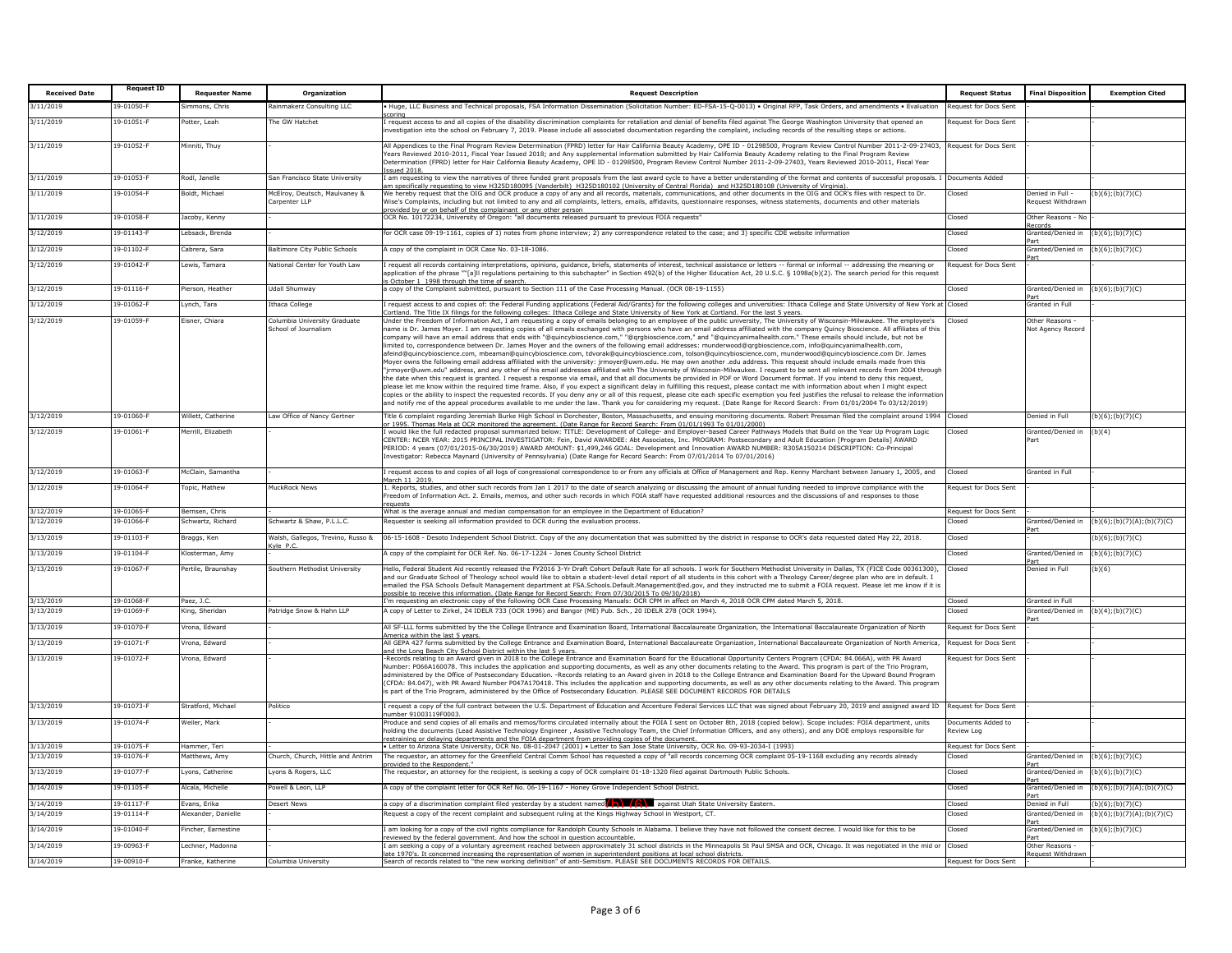| <b>Received Date</b>   | <b>Request ID</b>       | <b>Requester Name</b>            | Organization                                            | <b>Request Description</b>                                                                                                                                                                                                                                                                                                                                                                                                                                                                                                                                                                                                                                                                                                                                                                                                                                                                                                                                                                                                                                                                                                                                                                                                                                                                                                                                                                                                                                                                                                                                                                                                                                                                                                                                                                                             | <b>Request Status</b>            | <b>Final Disposition</b>               | <b>Exemption Cited</b>                         |
|------------------------|-------------------------|----------------------------------|---------------------------------------------------------|------------------------------------------------------------------------------------------------------------------------------------------------------------------------------------------------------------------------------------------------------------------------------------------------------------------------------------------------------------------------------------------------------------------------------------------------------------------------------------------------------------------------------------------------------------------------------------------------------------------------------------------------------------------------------------------------------------------------------------------------------------------------------------------------------------------------------------------------------------------------------------------------------------------------------------------------------------------------------------------------------------------------------------------------------------------------------------------------------------------------------------------------------------------------------------------------------------------------------------------------------------------------------------------------------------------------------------------------------------------------------------------------------------------------------------------------------------------------------------------------------------------------------------------------------------------------------------------------------------------------------------------------------------------------------------------------------------------------------------------------------------------------------------------------------------------------|----------------------------------|----------------------------------------|------------------------------------------------|
| /11/2019               | $9 - 01050 - F$         | mmons, Chris                     | ainmakerz Consulting LLC                                | Huge, LLC Business and Technical proposals, FSA Information Dissemination (Solicitation Number: ED-FSA-15-Q-0013) . Original RFP, Task Orders, and amendments . Evaluation                                                                                                                                                                                                                                                                                                                                                                                                                                                                                                                                                                                                                                                                                                                                                                                                                                                                                                                                                                                                                                                                                                                                                                                                                                                                                                                                                                                                                                                                                                                                                                                                                                             | equest for Docs Sent             |                                        |                                                |
| 3/11/2019              | 19-01051-F              | Potter, Leah                     | he GW Hatchet                                           | orina:<br>request access to and all copies of the disability discrimination complaints for retaliation and denial of benefits filed against The George Washington University that opened an<br>ivestigation into the school on February 7, 2019. Please include all associated documentation regarding the complaint, including records of the resulting steps or actions.                                                                                                                                                                                                                                                                                                                                                                                                                                                                                                                                                                                                                                                                                                                                                                                                                                                                                                                                                                                                                                                                                                                                                                                                                                                                                                                                                                                                                                             | Request for Docs Sent            |                                        |                                                |
| 3/11/2019              | $9 - 01052 - F$         | linniti, Thuy                    |                                                         | Il Appendices to the Final Program Review Determination (FPRD) letter for Hair California Beauty Academy, OPE ID - 01298500, Program Review Control Number 2011-2-09-27403,<br>ears Reviewed 2010-2011, Fiscal Year Issued 2018; and Any supplemental information submitted by Hair California Beauty Academy relating to the Final Program Review<br>Jetermination (FPRD) letter for Hair California Beauty Academy, OPE ID - 01298500, Program Review Control Number 2011-2-09-27403, Years Reviewed 2010-2011, Fiscal Year<br>ssued 2018.                                                                                                                                                                                                                                                                                                                                                                                                                                                                                                                                                                                                                                                                                                                                                                                                                                                                                                                                                                                                                                                                                                                                                                                                                                                                           | Request for Docs Sent            |                                        |                                                |
| 3/11/2019              | 19-01053-F              | Rodl, Janelle                    | San Francisco State University                          | am requesting to view the narratives of three funded grant proposals from the last award cycle to have a better understanding of the format and contents of successful proposals. I<br>m specifically requesting to view H325D180095 (Vanderbilt) H325D180102 (University of Central Florida) and H325D180108 (University of Virginia).                                                                                                                                                                                                                                                                                                                                                                                                                                                                                                                                                                                                                                                                                                                                                                                                                                                                                                                                                                                                                                                                                                                                                                                                                                                                                                                                                                                                                                                                                | Documents Added                  |                                        |                                                |
| 3/11/2019              | 19-01054-F              | Boldt, Michael                   | AcElroy, Deutsch, Maulyaney &<br>Carpenter LLP          | Ve hereby request that the OIG and OCR produce a copy of any and all records, materials, communications, and other documents in the OIG and OCR's files with respect to Dr.<br>Vise's Complaints, including but not limited to any and all complaints, letters, emails, affidavits, questionnaire responses, witness statements, documents and other materials<br>rovided by or on behalf of the complainant or any other person                                                                                                                                                                                                                                                                                                                                                                                                                                                                                                                                                                                                                                                                                                                                                                                                                                                                                                                                                                                                                                                                                                                                                                                                                                                                                                                                                                                       | Closed                           | Denied in Full -<br>equest Withdraw    | $(b)(6)$ ; $(b)(7)(C)$                         |
| 3/11/2019              | 19-01058-F              | Jacoby, Kenny                    |                                                         | CR No. 10172234, University of Oregon: "all documents released pursuant to previous FOIA requests"                                                                                                                                                                                                                                                                                                                                                                                                                                                                                                                                                                                                                                                                                                                                                                                                                                                                                                                                                                                                                                                                                                                                                                                                                                                                                                                                                                                                                                                                                                                                                                                                                                                                                                                     | Closed                           | Other Reasons - No<br>ecords           |                                                |
| 3/12/2019              | 19-01143-F              | l ebsack, Brenda                 |                                                         | or OCR case 09-19-1161, copies of 1) notes from phone interview; 2) any correspondence related to the case; and 3) specific CDE website information                                                                                                                                                                                                                                                                                                                                                                                                                                                                                                                                                                                                                                                                                                                                                                                                                                                                                                                                                                                                                                                                                                                                                                                                                                                                                                                                                                                                                                                                                                                                                                                                                                                                    | hezol.                           | Granted/Denied in                      | $(b)(6)$ ; $(b)(7)(C)$                         |
| 3/12/2019              | $9 - 01102 - F$         | Cabrera, Sara                    | Baltimore City Public Schools                           | copy of the complaint in OCR Case No. 03-18-1086.                                                                                                                                                                                                                                                                                                                                                                                                                                                                                                                                                                                                                                                                                                                                                                                                                                                                                                                                                                                                                                                                                                                                                                                                                                                                                                                                                                                                                                                                                                                                                                                                                                                                                                                                                                      | hezol.                           | Granted/Denied in                      | $(b)(6)$ ; $(b)(7)(C)$                         |
| 3/12/2019              | 19-01042-F              | Lewis, Tamara                    | <b>National Center for Youth Law</b>                    | request all records containing interpretations, opinions, guidance, briefs, statements of interest, technical assistance or letters -- formal or informal -- addressing the meaning or<br>pplication of the phrase ""[a]ll regulations pertaining to this subchapter" in Section 492(b) of the Higher Education Act, 20 U.S.C. § 1098a(b)(2). The search period for this request                                                                                                                                                                                                                                                                                                                                                                                                                                                                                                                                                                                                                                                                                                                                                                                                                                                                                                                                                                                                                                                                                                                                                                                                                                                                                                                                                                                                                                       | Request for Docs Sent            |                                        |                                                |
| 3/12/2019              | 19-01116-F              | Pierson, Heathe                  | <b>Jdall Shumway</b>                                    | October 1 1998 through the time of search<br>copy of the Complaint submitted, pursuant to Section 111 of the Case Processing Manual. (OCR 08-19-1155)                                                                                                                                                                                                                                                                                                                                                                                                                                                                                                                                                                                                                                                                                                                                                                                                                                                                                                                                                                                                                                                                                                                                                                                                                                                                                                                                                                                                                                                                                                                                                                                                                                                                  | hezol.                           | Granted/Denied in                      | (b)(6); (b)(7)(C)                              |
| 3/12/2019              | 19-01062-F              | vnch, Tara                       | Ithaca College                                          | request access to and copies of: the Federal Funding applications (Federal Aid/Grants) for the following colleges and universities: Ithaca College and State University of New York at                                                                                                                                                                                                                                                                                                                                                                                                                                                                                                                                                                                                                                                                                                                                                                                                                                                                                                                                                                                                                                                                                                                                                                                                                                                                                                                                                                                                                                                                                                                                                                                                                                 | Closed                           | art<br>iranted in Full                 |                                                |
| 3/12/2019              | 19-01059-F              | Eisner, Chiara                   | Columbia University Graduate                            | ortland. The Title IX filings for the following colleges: Ithaca College and State University of New York at Cortland. For the last 5 years.<br>Inder the Freedom of Information Act, I am requesting a copy of emails belonging to an employee of the public university, The University of Wisconsin-Milwaukee. The employee's                                                                                                                                                                                                                                                                                                                                                                                                                                                                                                                                                                                                                                                                                                                                                                                                                                                                                                                                                                                                                                                                                                                                                                                                                                                                                                                                                                                                                                                                                        | losed                            | Other Reasons                          |                                                |
|                        |                         |                                  | chool of Journalisn                                     | ame is Dr. James Moyer. I am requesting copies of all emails exchanged with persons who have an email address affiliated with the company Quincy Bioscience. All affiliates of this<br>company will have an email address that ends with "@quincybioscience.com," "@qrgbioscience.com," and "@quincyanimalhealth.com." These emails should include, but not be<br>mited to, correspondence between Dr. James Moyer and the owners of the following email addresses: munderwood@grgbioscience.com, info@quincyanimalhealth.com,<br>afeind@guincybioscience.com, mbeaman@guincybioscience.com, tdyorak@guincybioscience.com, tolson@guincybioscience.com, munderwood@guincybioscience.com Dr. James<br>Mover owns the following email address affiliated with the university: irmover@uwm.edu. He may own another .edu address. This request should include emails made from this<br>jrmoyer@uwm.edu" address, and any other of his email addresses affiliated with The University of Wisconsin-Milwaukee. I request to be sent all relevant records from 2004 through<br>the date when this request is granted. I request a response via email, and that all documents be provided in PDF or Word Document format. If you intend to deny this request,<br>lease let me know within the required time frame. Also, if you expect a significant delay in fulfilling this request, please contact me with information about when I might expect<br>opies or the ability to inspect the requested records. If you deny any or all of this request, please cite each specific exemption you feel justifies the refusal to release the informatio<br>nd notify me of the appeal procedures available to me under the law. Thank you for considering my request. (Date Range for Record Search: From 01/01/2004 To 03/12/2019) |                                  | lot Agency Record                      |                                                |
| 3/12/2019              | 19-01060-l              | Villett, Catherine               | Law Office of Nancy Gertner                             | itle 6 complaint regarding Jeremiah Burke High School in Dorchester, Boston, Massachusetts, and ensuing monitoring documents. Robert Pressman filed the complaint around 1994<br>r 1995. Thomas Mela at OCR monitored the agreement. (Date Range for Record Search: From 01/01/1993 To 01/01/2000)                                                                                                                                                                                                                                                                                                                                                                                                                                                                                                                                                                                                                                                                                                                                                                                                                                                                                                                                                                                                                                                                                                                                                                                                                                                                                                                                                                                                                                                                                                                     | Closed                           | Denied in Full                         | (b)(6):(b)(7)(C)                               |
| 3/12/2019              | 19-01061-F              | lerrill, Elizabeth               |                                                         | would like the full redacted proposal summarized below: TITLE: Development of College- and Employer-based Career Pathways Models that Build on the Year Up Program Logic<br>CENTER: NCER YEAR: 2015 PRINCIPAL INVESTIGATOR: Fein, David AWARDEE: Abt Associates, Inc. PROGRAM: Postsecondary and Adult Education [Program Details] AWARD<br>PERIOD: 4 years (07/01/2015-06/30/2019) AWARD AMOUNT: \$1.499.246 GOAL: Development and Innovation AWARD NUMBER: R305A150214 DESCRIPTION: Co-Principal<br>nvestigator: Rebecca Maynard (University of Pennsylvania) (Date Range for Record Search: From 07/01/2014 To 07/01/2016)                                                                                                                                                                                                                                                                                                                                                                                                                                                                                                                                                                                                                                                                                                                                                                                                                                                                                                                                                                                                                                                                                                                                                                                          | losed                            | Granted/Denied in<br>art               | (b)(4)                                         |
| 3/12/2019              | 19-01063-F              | McClain, Samantha                |                                                         | request access to and copies of all logs of congressional correspondence to or from any officials at Office of Management and Rep. Kenny Marchant between January 1, 2005, and<br>larch 11 2019.                                                                                                                                                                                                                                                                                                                                                                                                                                                                                                                                                                                                                                                                                                                                                                                                                                                                                                                                                                                                                                                                                                                                                                                                                                                                                                                                                                                                                                                                                                                                                                                                                       | hezol.                           | <b>Granted in Full</b>                 |                                                |
| 3/12/2019              | 19-01064-F              | <b>Topic, Mathew</b>             | MuckRock News                                           | . Reports, studies, and other such records from Jan 1 2017 to the date of search analyzing or discussing the amount of annual funding needed to improve compliance with the<br>reedom of Information Act. 2. Emails, memos, and other such records in which FOIA staff have requested additional resources and the discussions of and responses to those<br>quest                                                                                                                                                                                                                                                                                                                                                                                                                                                                                                                                                                                                                                                                                                                                                                                                                                                                                                                                                                                                                                                                                                                                                                                                                                                                                                                                                                                                                                                      | Request for Docs Sent            |                                        |                                                |
| 3/12/2019              | 19-01065-F              | Bernsen, Chris                   |                                                         | What is the average annual and median compensation for an employee in the Department of Education?                                                                                                                                                                                                                                                                                                                                                                                                                                                                                                                                                                                                                                                                                                                                                                                                                                                                                                                                                                                                                                                                                                                                                                                                                                                                                                                                                                                                                                                                                                                                                                                                                                                                                                                     | Request for Docs Sent            |                                        |                                                |
| 3/12/2019              | $9 - 01066 - F$         | ichwartz, Richard                | Schwartz & Shaw, P.L.L.C.                               | lequester is seeking all information provided to OCR during the evaluation process.                                                                                                                                                                                                                                                                                                                                                                                                                                                                                                                                                                                                                                                                                                                                                                                                                                                                                                                                                                                                                                                                                                                                                                                                                                                                                                                                                                                                                                                                                                                                                                                                                                                                                                                                    | Closed                           | iranted/Denied in                      | (b)(6); (b)(7)(A); (b)(7)(C)                   |
| 3/13/2019              | 19-01103-F              | Braggs, Ken                      | Walsh, Gallegos, Trevino, Russo &<br>vle PC             | 6-15-1608 - Desoto Independent School District. Copy of the any documentation that was submitted by the district in response to OCR's data requested dated May 22, 2018.                                                                                                                                                                                                                                                                                                                                                                                                                                                                                                                                                                                                                                                                                                                                                                                                                                                                                                                                                                                                                                                                                                                                                                                                                                                                                                                                                                                                                                                                                                                                                                                                                                               | Closed                           |                                        | $b)(6)$ ;(b)(7)(C)                             |
| 3/13/2019              | $9 - 01104 - F$         | losterman, Amy                   |                                                         | copy of the complaint for OCR Ref. No. 06-17-1224 - Jones County School District                                                                                                                                                                                                                                                                                                                                                                                                                                                                                                                                                                                                                                                                                                                                                                                                                                                                                                                                                                                                                                                                                                                                                                                                                                                                                                                                                                                                                                                                                                                                                                                                                                                                                                                                       | losed                            | Granted/Denied in                      | $(b)(6)$ ; $(b)(7)(C)$                         |
| 3/13/2019              | 9-01067-F               | ertile, Braunshay                | Southern Methodist University                           | lello, Federal Student Aid recently released the FY2016 3-Yr Draft Cohort Default Rate for all schools. I work for Southern Methodist University in Dallas, TX (FICE Code 00361300),<br>ind our Graduate School of Theology school would like to obtain a student-level detail report of all students in this cohort with a Theology Career/degree plan who are in default. I<br>mailed the FSA Schools Default Management department at FSA.Schools.Default.Management@ed.gov, and they instructed me to submit a FOIA request. Please let me know if it is<br>ssible to receive this information. (Date Range for Record Search: From 07/30/2015 To 09/30/2018)                                                                                                                                                                                                                                                                                                                                                                                                                                                                                                                                                                                                                                                                                                                                                                                                                                                                                                                                                                                                                                                                                                                                                      | Closed                           | Denied in Full                         | (b)(6)                                         |
| 3/13/2019              | 19-01068-F              | Paez, J.C.                       |                                                         | 'm requesting an electronic copy of the following OCR Case Processing Manuals: OCR CPM in affect on March 4, 2018 OCR CPM dated March 5, 2018.                                                                                                                                                                                                                                                                                                                                                                                                                                                                                                                                                                                                                                                                                                                                                                                                                                                                                                                                                                                                                                                                                                                                                                                                                                                                                                                                                                                                                                                                                                                                                                                                                                                                         | Closed                           | Granted in Full                        |                                                |
| 3/13/2019              | $9 - 01069 -$           | ing, Sheridan                    | atridge Snow & Hahn LLP                                 | copy of Letter to Zirkel, 24 IDELR 733 (OCR 1996) and Bangor (ME) Pub. Sch., 20 IDELR 278 (OCR 1994)                                                                                                                                                                                                                                                                                                                                                                                                                                                                                                                                                                                                                                                                                                                                                                                                                                                                                                                                                                                                                                                                                                                                                                                                                                                                                                                                                                                                                                                                                                                                                                                                                                                                                                                   | osed                             | iranted/Denied in                      | (b)(4);(b)(7)(C)                               |
| 3/13/2019              | 19-01070-F              | rona, Edward                     |                                                         | All SF-LLL forms submitted by the the College Entrance and Examination Board, International Baccalaureate Organization, the International Baccalaureate Organization of North<br>nerica within the last 5 years                                                                                                                                                                                                                                                                                                                                                                                                                                                                                                                                                                                                                                                                                                                                                                                                                                                                                                                                                                                                                                                                                                                                                                                                                                                                                                                                                                                                                                                                                                                                                                                                        | lequest for Docs Sent            |                                        |                                                |
| 3/13/2019              | 19-01071-F              | /rona, Edward                    |                                                         | Il GEPA 427 forms submitted by the College Entrance and Examination Board, International Baccalaureate Organization, International Baccalaureate Organization of North America,<br>nd the Long Beach City School District within the last 5 years.                                                                                                                                                                                                                                                                                                                                                                                                                                                                                                                                                                                                                                                                                                                                                                                                                                                                                                                                                                                                                                                                                                                                                                                                                                                                                                                                                                                                                                                                                                                                                                     | Request for Docs Sent            |                                        |                                                |
| 3/13/2019              | 9-01072-F               | rona, Edward                     |                                                         | Records relating to an Award given in 2018 to the College Entrance and Examination Board for the Educational Opportunity Centers Program (CFDA: 84.066A), with PR Award<br>Number: P066A160078. This includes the application and supporting documents, as well as any other documents relating to the Award. This program is part of the Trio Program,<br>dministered by the Office of Postsecondary Education. -Records relating to an Award given in 2018 to the College Entrance and Examination Board for the Upward Bound Program<br>CFDA: 84.047), with PR Award Number P047A170418. This includes the application and supporting documents, as well as any other documents relating to the Award. This program<br>s part of the Trio Program, administered by the Office of Postsecondary Education. PLEASE SEE DOCUMENT RECORDS FOR DETAILS                                                                                                                                                                                                                                                                                                                                                                                                                                                                                                                                                                                                                                                                                                                                                                                                                                                                                                                                                                   | equest for Docs Sent             |                                        |                                                |
| 3/13/2019              | 9-01073-F               | Stratford, Michael               | olitico                                                 | request a copy of the full contract between the U.S. Department of Education and Accenture Federal Services LLC that was signed about February 20, 2019 and assigned award ID<br>umber 91003119F0003                                                                                                                                                                                                                                                                                                                                                                                                                                                                                                                                                                                                                                                                                                                                                                                                                                                                                                                                                                                                                                                                                                                                                                                                                                                                                                                                                                                                                                                                                                                                                                                                                   | lequest for Docs Sent            |                                        |                                                |
| 3/13/2019              | 9-01074-F               | Veiler, Mark                     |                                                         | roduce and send copies of all emails and memos/forms circulated internally about the FOIA I sent on October 8th, 2018 (copied below). Scope includes: FOIA department, units<br>olding the documents (Lead Assistive Technology Engineer, Assistive Technology Team, the Chief Information Officers, and any others), and any DOE employs responsible for<br>estraining or delaying departments and the FOIA department from providing copies of the document.                                                                                                                                                                                                                                                                                                                                                                                                                                                                                                                                                                                                                                                                                                                                                                                                                                                                                                                                                                                                                                                                                                                                                                                                                                                                                                                                                         | Documents Added to<br>Review Loa |                                        |                                                |
| 3/13/2019              | 19-01075-F              | Hammer, Teri                     |                                                         | . Letter to Arizona State University, OCR No. 08-01-2047 (2001) . Letter to San Jose State University, OCR No. 09-93-2034-I (1993)                                                                                                                                                                                                                                                                                                                                                                                                                                                                                                                                                                                                                                                                                                                                                                                                                                                                                                                                                                                                                                                                                                                                                                                                                                                                                                                                                                                                                                                                                                                                                                                                                                                                                     | Request for Docs Sent            |                                        |                                                |
| 3/13/2019<br>3/13/2019 | 9-01076-F<br>19-01077-F | latthews, Amy<br>yons, Catherine | Church, Church, Hittle and Antrim<br>yons & Rogers, LLC | The requestor, an attorney for the Greenfield Central Comm School has requested a copy of "all records concerning OCR complaint 05-19-1168 excluding any records already<br>ovided to the Respondent."<br>he requestor, an attorney for the recipient, is seeking a copy of OCR complaint 01-18-1320 filed against Dartmouth Public Schools.                                                                                                                                                                                                                                                                                                                                                                                                                                                                                                                                                                                                                                                                                                                                                                                                                                                                                                                                                                                                                                                                                                                                                                                                                                                                                                                                                                                                                                                                           | Closed<br>Closed                 | iranted/Denied in<br>iranted/Denied in | $(b)(6)$ ; $(b)(7)(C)$<br>$(b)(6)$ ; (b)(7)(C) |
| /14/2019               | 9-01105-F               | Alcala, Michelle                 | owell & Leon, LLF                                       | copy of the complaint letter for OCR Ref No. 06-19-1167 - Honey Grove Independent School District.                                                                                                                                                                                                                                                                                                                                                                                                                                                                                                                                                                                                                                                                                                                                                                                                                                                                                                                                                                                                                                                                                                                                                                                                                                                                                                                                                                                                                                                                                                                                                                                                                                                                                                                     | Closed                           | art<br>Granted/Denied in               | $(b)(6)$ ; $(b)(7)(A)$ ; $(b)(7)(C)$           |
| 3/14/2019              | 19-01117-F              | Evans, Erika                     | <b>Desert News</b>                                      | a copy of a discrimination complaint filed yesterday by a student named $\left(\bigwedge^{\bullet}\right)^{\bullet}$ against Utah State University Eastern.                                                                                                                                                                                                                                                                                                                                                                                                                                                                                                                                                                                                                                                                                                                                                                                                                                                                                                                                                                                                                                                                                                                                                                                                                                                                                                                                                                                                                                                                                                                                                                                                                                                            | Closed                           | Denied in Full                         | (b)(6); (b)(7)(C)                              |
| /14/2019               | $9 - 01114 - F$         | Jexander, Danielle               |                                                         | equest a copy of the recent complaint and subsequent ruling at the Kings Highway School in Westport, CT.                                                                                                                                                                                                                                                                                                                                                                                                                                                                                                                                                                                                                                                                                                                                                                                                                                                                                                                                                                                                                                                                                                                                                                                                                                                                                                                                                                                                                                                                                                                                                                                                                                                                                                               | losed                            | Granted/Denied in                      | (b)(6); (b)(7)(A); (b)(7)(C)                   |
| 3/14/2019              | 9-01040-F               | incher, Earnestine               |                                                         | am looking for a copy of the civil rights compliance for Randolph County Schools in Alabama. I believe they have not followed the consent decree. I would like for this to be                                                                                                                                                                                                                                                                                                                                                                                                                                                                                                                                                                                                                                                                                                                                                                                                                                                                                                                                                                                                                                                                                                                                                                                                                                                                                                                                                                                                                                                                                                                                                                                                                                          | Closed                           | art<br>Granted/Denied in               | $(b)(6)$ ; $(b)(7)(C)$                         |
| /14/2019               | $9 - 00963 - 6$         | echner, Madonna                  |                                                         | viewed by the federal government. And how the school in question accountable<br>am seeking a copy of a voluntary agreement reached between approximately 31 school districts in the Minneapolis St Paul SMSA and OCR, Chicago. It was negotiated in the mid or                                                                                                                                                                                                                                                                                                                                                                                                                                                                                                                                                                                                                                                                                                                                                                                                                                                                                                                                                                                                                                                                                                                                                                                                                                                                                                                                                                                                                                                                                                                                                         | Closed                           | art<br>Other Reasons                   |                                                |
| 3/14/2019              | 19-00910-F              | Franke, Katherine                | Columbia University                                     | ate 1970's. It concerned increasing the representation of women in superintendent positions at local school districts.<br>Search of records related to "the new working definition" of anti-Semitism. PLEASE SEE DOCUMENTS RECORDS FOR DETAILS.                                                                                                                                                                                                                                                                                                                                                                                                                                                                                                                                                                                                                                                                                                                                                                                                                                                                                                                                                                                                                                                                                                                                                                                                                                                                                                                                                                                                                                                                                                                                                                        | Request for Docs Sent            | equest Withdraw                        |                                                |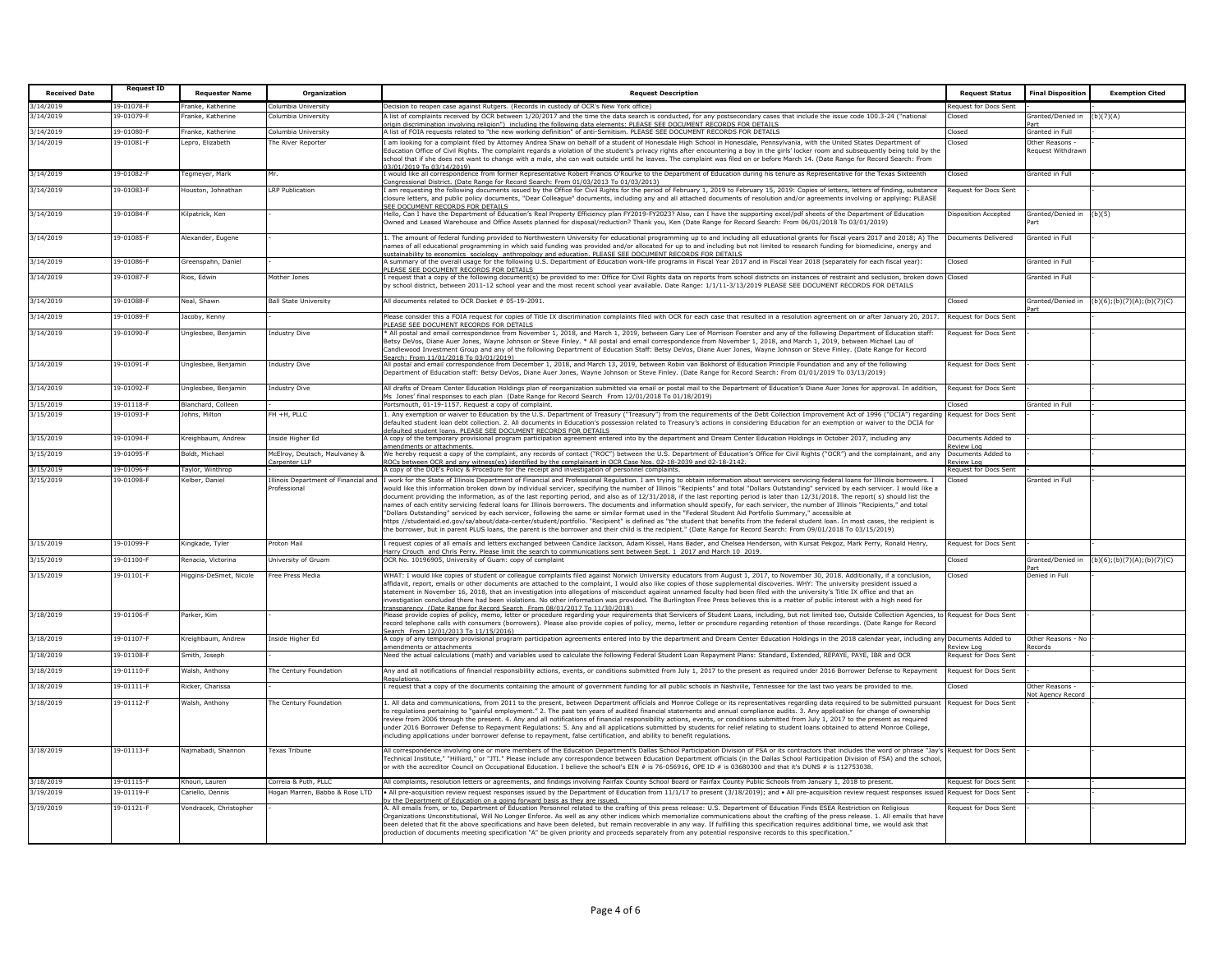| <b>Received Date</b> | <b>Request ID</b> | <b>Requester Name</b>  | Organization                                        | <b>Request Description</b>                                                                                                                                                                                                                                                                                                                                                                                                                                                                                                                                                                                                                                                                                                                                                                                                                                                                                                                                                                                                                                                                                                                                                                                                                                                                        | <b>Request Status</b>              | <b>Final Disposition</b> | <b>Exemption Cited</b>     |
|----------------------|-------------------|------------------------|-----------------------------------------------------|---------------------------------------------------------------------------------------------------------------------------------------------------------------------------------------------------------------------------------------------------------------------------------------------------------------------------------------------------------------------------------------------------------------------------------------------------------------------------------------------------------------------------------------------------------------------------------------------------------------------------------------------------------------------------------------------------------------------------------------------------------------------------------------------------------------------------------------------------------------------------------------------------------------------------------------------------------------------------------------------------------------------------------------------------------------------------------------------------------------------------------------------------------------------------------------------------------------------------------------------------------------------------------------------------|------------------------------------|--------------------------|----------------------------|
| 3/14/2019            | 19-01078-F        | Franke, Katherine      | Columbia University                                 | Decision to reopen case against Rutgers. (Records in custody of OCR's New York office)                                                                                                                                                                                                                                                                                                                                                                                                                                                                                                                                                                                                                                                                                                                                                                                                                                                                                                                                                                                                                                                                                                                                                                                                            | Request for Docs Sent              |                          |                            |
| 3/14/2019            | 19-01079-F        | ranke, Katherine       | Columbia University                                 | A list of complaints received by OCR between 1/20/2017 and the time the data search is conducted, for any postsecondary cases that include the issue code 100.3-24 ("national                                                                                                                                                                                                                                                                                                                                                                                                                                                                                                                                                                                                                                                                                                                                                                                                                                                                                                                                                                                                                                                                                                                     | Closed                             | Granted/Denied in        | (b)(7)(A)                  |
| 3/14/2019            | 19-01080-F        | Franke, Katherine      | Columbia University                                 | igin discrimination involving religion") including the following data elements: PLEASE SEE DOCUMENT RECORDS FOR DETAILS<br>A list of FOIA requests related to "the new working definition" of anti-Semitism. PLEASE SEE DOCUMENT RECORDS FOR DETAILS                                                                                                                                                                                                                                                                                                                                                                                                                                                                                                                                                                                                                                                                                                                                                                                                                                                                                                                                                                                                                                              | Closed                             | Granted in Full          |                            |
| 3/14/2019            | $9 - 01081 - F$   | epro, Elizabetl        | he River Reporter                                   | am looking for a complaint filed by Attorney Andrea Shaw on behalf of a student of Honesdale High School in Honesdale, Pennsylvania, with the United States Department of                                                                                                                                                                                                                                                                                                                                                                                                                                                                                                                                                                                                                                                                                                                                                                                                                                                                                                                                                                                                                                                                                                                         | losed                              | ther Reasons             |                            |
|                      |                   |                        |                                                     | ducation Office of Civil Rights. The complaint regards a violation of the student's privacy rights after encountering a boy in the girls' locker room and subsequently being told by the<br>chool that if she does not want to change with a male, she can wait outside until he leaves. The complaint was filed on or before March 14. (Date Range for Record Search: From<br>3/01/2019 To 03/14/2019)                                                                                                                                                                                                                                                                                                                                                                                                                                                                                                                                                                                                                                                                                                                                                                                                                                                                                           |                                    | lequest Withdraw         |                            |
| 3/14/2019            | 19-01082-F        | egmeyer, Mark          | Mr.                                                 | would like all correspondence from former Representative Robert Francis O'Rourke to the Department of Education during his tenure as Representative for the Texas Sixteenth                                                                                                                                                                                                                                                                                                                                                                                                                                                                                                                                                                                                                                                                                                                                                                                                                                                                                                                                                                                                                                                                                                                       | Closed                             | <b>Granted in Full</b>   |                            |
| 3/14/2019            | 19-01083-F        | Houston, Johnathan     | <b>RP Publication</b>                               | ongressional District. (Date Range for Record Search: From 01/03/2013 To 01/03/2013)<br>am requesting the following documents issued by the Office for Civil Rights for the period of February 1, 2019 to February 15, 2019: Copies of letters, letters of finding, substance<br>osure letters, and public policy documents, "Dear Colleague" documents, including any and all attached documents of resolution and/or agreements involving or applying: PLEASE                                                                                                                                                                                                                                                                                                                                                                                                                                                                                                                                                                                                                                                                                                                                                                                                                                   | <b>Request for Docs Sent</b>       |                          |                            |
| 3/14/2019            | 19-01084-F        | Kilpatrick, Ken        |                                                     | FF DOCUMENT RECORDS FOR DETAILS<br>lello, Can I have the Department of Education's Real Property Efficiency plan FY2019-FY2023? Also, can I have the supporting excel/pdf sheets of the Department of Education<br>wned and Leased Warehouse and Office Assets planned for disposal/reduction? Thank you, Ken (Date Range for Record Search: From 06/01/2018 To 03/01/2019)                                                                                                                                                                                                                                                                                                                                                                                                                                                                                                                                                                                                                                                                                                                                                                                                                                                                                                                       | Disposition Accepted               | Granted/Denied in        | (b)(5)                     |
| 3/14/2019            | 19-01085-F        | Alexander, Fugene      |                                                     | 1. The amount of federal funding provided to Northwestern University for educational programming up to and including all educational grants for fiscal years 2017 and 2018; A) The<br>ames of all educational programming in which said funding was provided and/or allocated for up to and including but not limited to research funding for biomedicine, energy and                                                                                                                                                                                                                                                                                                                                                                                                                                                                                                                                                                                                                                                                                                                                                                                                                                                                                                                             | Documents Delivered                | Granted in Full          |                            |
| 3/14/2019            | 19-01086-F        | Greenspahn, Daniel     |                                                     | istainability to economics sociology anthropology and education, PLEASE SEE DOCUMENT RECORDS FOR DETAILS<br>A summary of the overall usage for the following U.S. Department of Education work-life programs in Fiscal Year 2017 and in Fiscal Year 2018 (separately for each fiscal year):                                                                                                                                                                                                                                                                                                                                                                                                                                                                                                                                                                                                                                                                                                                                                                                                                                                                                                                                                                                                       | Closed                             | <b>Granted in Full</b>   |                            |
| 3/14/2019            | 19-01087-F        | Rios, Edwin            | Mother Jones                                        | PLEASE SEE DOCUMENT RECORDS FOR DETAILS<br>request that a copy of the following document(s) be provided to me: Office for Civil Rights data on reports from school districts on instances of restraint and seclusion, broken down                                                                                                                                                                                                                                                                                                                                                                                                                                                                                                                                                                                                                                                                                                                                                                                                                                                                                                                                                                                                                                                                 | Closed                             | Granted in Full          |                            |
|                      |                   |                        |                                                     | by school district, between 2011-12 school year and the most recent school year available. Date Range: 1/1/11-3/13/2019 PLEASE SEE DOCUMENT RECORDS FOR DETAILS<br>All documents related to OCR Docket # 05-19-2091.                                                                                                                                                                                                                                                                                                                                                                                                                                                                                                                                                                                                                                                                                                                                                                                                                                                                                                                                                                                                                                                                              |                                    |                          |                            |
| 3/14/2019            | 19-01088-F        | Neal, Shawn            | Ball State University                               |                                                                                                                                                                                                                                                                                                                                                                                                                                                                                                                                                                                                                                                                                                                                                                                                                                                                                                                                                                                                                                                                                                                                                                                                                                                                                                   | losed                              | Granted/Denied in        | (b)(6);(b)(7)(A);(b)(7)(C) |
| 3/14/2019            | 19-01089-F        | Jacoby, Kenny          |                                                     | lease consider this a FOIA request for copies of Title IX discrimination complaints filed with OCR for each case that resulted in a resolution agreement on or after January 20, 2017.<br>LEASE SEE DOCUMENT RECORDS FOR DETAILS                                                                                                                                                                                                                                                                                                                                                                                                                                                                                                                                                                                                                                                                                                                                                                                                                                                                                                                                                                                                                                                                  | Request for Docs Sent              |                          |                            |
| 3/14/2019            | 19-01090-F        | Jnglesbee, Benjamin    | <b>Industry Dive</b>                                | All postal and email correspondence from November 1, 2018, and March 1, 2019, between Gary Lee of Morrison Foerster and any of the following Department of Education staff:<br>Betsy DeVos, Diane Auer Jones, Wayne Johnson or Steve Finley, * All postal and email correspondence from November 1, 2018, and March 1, 2019, between Michael Lau of<br>Candlewood Investment Group and any of the following Department of Education Staff: Betsy DeVos, Diane Auer Jones, Wayne Johnson or Steve Finley. (Date Range for Record<br>earch: From 11/01/2018 To 03/01/2019)                                                                                                                                                                                                                                                                                                                                                                                                                                                                                                                                                                                                                                                                                                                          | Request for Docs Sent              |                          |                            |
| 3/14/2019            | 19-01091-F        | Unglesbee, Benjamin    | ndustry Dive                                        | All postal and email correspondence from December 1, 2018, and March 13, 2019, between Robin van Bokhorst of Education Principle Foundation and any of the following<br>Department of Education staff: Betsy DeVos, Diane Auer Jones, Wayne Johnson or Steve Finley. (Date Range for Record Search: From 01/01/2019 To 03/13/2019)                                                                                                                                                                                                                                                                                                                                                                                                                                                                                                                                                                                                                                                                                                                                                                                                                                                                                                                                                                | <b>Request for Docs Sent</b>       |                          |                            |
| 3/14/2019            | 19-01092-F        | Unglesbee, Benjamin    | ndustry Dive                                        | All drafts of Dream Center Education Holdings plan of reorganization submitted via email or postal mail to the Department of Education's Diane Auer Jones for approval. In addition,<br>s Jones' final responses to each plan (Date Range for Record Search From 12/01/2018 To 01/18/2019)                                                                                                                                                                                                                                                                                                                                                                                                                                                                                                                                                                                                                                                                                                                                                                                                                                                                                                                                                                                                        | Request for Docs Sent              |                          |                            |
| 3/15/2019            | 19-01118-F        | Blanchard, Colleen     |                                                     | Portsmouth, 01-19-1157, Request a copy of complaint.                                                                                                                                                                                                                                                                                                                                                                                                                                                                                                                                                                                                                                                                                                                                                                                                                                                                                                                                                                                                                                                                                                                                                                                                                                              | Closed                             | Granted in Full          |                            |
| 3/15/2019            | 19-01093-1        | Johns, Milton          | H +H, PLLC                                          | 1. Any exemption or waiver to Education by the U.S. Department of Treasury ("Treasury") from the requirements of the Debt Collection Improvement Act of 1996 ("DCIA") reqarding<br>defaulted student loan debt collection, 2, All documents in Education's possession related to Treasury's actions in considering Education for an exemption or waiver to the DCIA for<br>efaulted student loans. PLEASE SEE DOCUMENT RECORDS FOR DETAILS                                                                                                                                                                                                                                                                                                                                                                                                                                                                                                                                                                                                                                                                                                                                                                                                                                                        | tequest for Docs Sent              |                          |                            |
| 3/15/2019            | 19-01094-F        | Kreighbaum, Andrew     | Inside Higher Ed                                    | A copy of the temporary provisional program participation agreement entered into by the department and Dream Center Education Holdings in October 2017, including any<br>mendments or attachments                                                                                                                                                                                                                                                                                                                                                                                                                                                                                                                                                                                                                                                                                                                                                                                                                                                                                                                                                                                                                                                                                                 | Documents Added to<br>eview Loa    |                          |                            |
| 3/15/2019            | 19-01095-F        | Boldt, Michael         | McElroy, Deutsch, Maulvaney &                       | We hereby request a copy of the complaint, any records of contact ("ROC") between the U.S. Department of Education's Office for Civil Rights ("OCR") and the complainant, and any                                                                                                                                                                                                                                                                                                                                                                                                                                                                                                                                                                                                                                                                                                                                                                                                                                                                                                                                                                                                                                                                                                                 | Documents Added to                 |                          |                            |
| 3/15/2019            | 19-01096-F        | Taylor, Winthrop       | arnenter IIP                                        | OCs between OCR and any witness(es) identified by the complainant in OCR Case Nos. 02-18-2039 and 02-18-2142.<br>A copy of the DOE's Policy & Procedure for the receipt and investigation of personnel complaints.                                                                                                                                                                                                                                                                                                                                                                                                                                                                                                                                                                                                                                                                                                                                                                                                                                                                                                                                                                                                                                                                                | eview Loa<br>Request for Docs Sent |                          |                            |
| 3/15/2019            | 19-01098-F        | Kelber, Daniel         | Ilinois Department of Financial and<br>Professional | i work for the State of Illinois Department of Financial and Professional Requlation. I am trying to obtain information about servicers servicing federal loans for Illinois borrowers. I<br>ould like this information broken down by individual servicer, specifying the number of Illinois "Recipients" and total "Dollars Outstanding" serviced by each servicer. I would like a<br>document providing the information, as of the last reporting period, and also as of 12/31/2018, if the last reporting period is later than 12/31/2018. The report( s) should list the<br>names of each entity servicing federal loans for Illinois borrowers. The documents and information should specify, for each servicer, the number of Illinois "Recipients," and total<br>"Dollars Outstanding" serviced by each servicer, following the same or similar format used in the "Federal Student Aid Portfolio Summary," accessible at<br>https://studentaid.ed.gov/sa/about/data-center/student/portfolio. "Recipient" is defined as "the student that benefits from the federal student loan. In most cases, the recipient is<br>the borrower, but in parent PLUS loans, the parent is the borrower and their child is the recipient." (Date Range for Record Search: From 09/01/2018 To 03/15/2019) | Closed                             | Granted in Full          |                            |
| 3/15/2019            | 19-01099-F        | Kingkade, Tyler        | Proton Mail                                         | request copies of all emails and letters exchanged between Candice Jackson, Adam Kissel, Hans Bader, and Chelsea Henderson, with Kursat Pekgoz, Mark Perry, Ronald Henry,<br>arry Crouch and Chris Perry. Please limit the search to communications sent between Sept. 1 2017 and March 10 2019.                                                                                                                                                                                                                                                                                                                                                                                                                                                                                                                                                                                                                                                                                                                                                                                                                                                                                                                                                                                                  | Request for Docs Sent              |                          |                            |
| 3/15/2019            | 19-01100-F        | Renacia, Victorina     | <b>Jniversity of Gruam</b>                          | OCR No. 10196905, University of Guam: copy of complaint                                                                                                                                                                                                                                                                                                                                                                                                                                                                                                                                                                                                                                                                                                                                                                                                                                                                                                                                                                                                                                                                                                                                                                                                                                           | Closed                             | Granted/Denied in        | (b)(6);(b)(7)(A);(b)(7)(C) |
| 3/15/2019            | 19-01101-F        | Higgins-DeSmet, Nicole | Free Press Media                                    | WHAT: I would like copies of student or colleague complaints filed against Norwich University educators from August 1, 2017, to November 30, 2018. Additionally, if a conclusion,<br>ffidavit, report, emails or other documents are attached to the complaint, I would also like copies of those supplemental discoveries. WHY: The university president issued a<br>statement in November 16, 2018, that an investigation into allegations of misconduct against unnamed faculty had been filed with the university's Title IX office and that an<br>nvestigation concluded there had been violations. No other information was provided. The Burlington Free Press believes this is a matter of public interest with a high need for<br>arency (Date Range for Record Search From 08/01/2017 To 11/30/2018)                                                                                                                                                                                                                                                                                                                                                                                                                                                                                    | Closed                             | Denied in Full           |                            |
| 3/18/2019            | 19-01106-F        | Parker, Kim            |                                                     | Please provide copies of policy, memo, letter or procedure regarding your requirements that Servicers of Student Loans, including, but not limited too, Outside Collection Agencies, to Request for Docs Sent<br>ecord telephone calls with consumers (borrowers). Please also provide copies of policy, memo, letter or procedure regarding retention of those recordings. (Date Range for Record<br>arch From 12/01/2013 To 11/15/2016)                                                                                                                                                                                                                                                                                                                                                                                                                                                                                                                                                                                                                                                                                                                                                                                                                                                         |                                    |                          |                            |
| 3/18/2019            | 19-01107-F        | Kreighbaum, Andrew     | nside Higher Ed                                     | copy of any temporary provisional program participation agreements entered into by the department and Dream Center Education Holdings in the 2018 calendar year, including any Documents Added to<br>nendments or attachments                                                                                                                                                                                                                                                                                                                                                                                                                                                                                                                                                                                                                                                                                                                                                                                                                                                                                                                                                                                                                                                                     | leview Loa                         | Other Reasons - No       |                            |
| 3/18/2019            | 19-01108-F        | Smith, Joseph          |                                                     | leed the actual calculations (math) and variables used to calculate the following Federal Student Loan Repayment Plans: Standard, Extended, REPAYE, PAYE, IBR and OCR                                                                                                                                                                                                                                                                                                                                                                                                                                                                                                                                                                                                                                                                                                                                                                                                                                                                                                                                                                                                                                                                                                                             | Request for Docs Sent              |                          |                            |
| 3/18/2019            | 19-01110-F        | Walsh, Anthony         | The Century Foundation                              | Any and all notifications of financial responsibility actions, events, or conditions submitted from July 1, 2017 to the present as required under 2016 Borrower Defense to Repayment                                                                                                                                                                                                                                                                                                                                                                                                                                                                                                                                                                                                                                                                                                                                                                                                                                                                                                                                                                                                                                                                                                              | Request for Docs Sent              |                          |                            |
| 3/18/2019            | 19-01111-F        | Ricker, Charissa       |                                                     | request that a copy of the documents containing the amount of government funding for all public schools in Nashville, Tennessee for the last two years be provided to me.                                                                                                                                                                                                                                                                                                                                                                                                                                                                                                                                                                                                                                                                                                                                                                                                                                                                                                                                                                                                                                                                                                                         | Closed                             | Other Reasons            |                            |
| 3/18/2019            | 19-01112-F        | Walsh, Anthony         | he Century Foundation                               | All data and communications, from 2011 to the present, between Department officials and Monroe College or its representatives regarding data required to be submitted pursuant<br>requiations pertaining to "gainful employment." 2. The past ten vears of audited financial statements and annual compliance audits. 3. Any application for change of ownership<br>eview from 2006 through the present. 4. Any and all notifications of financial responsibility actions, events, or conditions submitted from July 1, 2017 to the present as required<br>under 2016 Borrower Defense to Repayment Regulations: 5. Any and all applications submitted by students for relief relating to student loans obtained to attend Monroe College,<br>ncluding applications under borrower defense to repayment, false certification, and ability to benefit regulations.                                                                                                                                                                                                                                                                                                                                                                                                                                 | Request for Docs Sent              |                          |                            |
| 3/18/2019            | 19-01113-F        | Najmabadi, Shannon     | exas Tribune                                        | All correspondence involving one or more members of the Education Department's Dallas School Participation Division of FSA or its contractors that includes the word or phrase "Jay's Request for Docs Sent<br>Technical Institute," "Hilliard," or "JTI." Please include any correspondence between Education Department officials (in the Dallas School Participation Division of FSA) and the school<br>r with the accreditor Council on Occupational Education. I believe the school's EIN # is 76-056916, OPE ID # is 03680300 and that it's DUNS # is 112753038.                                                                                                                                                                                                                                                                                                                                                                                                                                                                                                                                                                                                                                                                                                                            |                                    |                          |                            |
| 3/18/2019            | 19-01115-F        | Khouri, Lauren         | Correia & Puth, PLLC                                | All complaints, resolution letters or agreements, and findings involving Fairfax County School Board or Fairfax County Public Schools from January 1, 2018 to present.                                                                                                                                                                                                                                                                                                                                                                                                                                                                                                                                                                                                                                                                                                                                                                                                                                                                                                                                                                                                                                                                                                                            | <b>Request for Docs Sent</b>       |                          |                            |
| 3/19/2019            | 19-01119-F        | Cariello, Dennis       | logan Marren, Babbo & Rose LTD                      | All pre-acquisition review request responses issued by the Department of Education from 11/1/17 to present (3/18/2019); and • All pre-acquisition review request responses issued<br>the Department of Education on a going forward basis as they are issued.                                                                                                                                                                                                                                                                                                                                                                                                                                                                                                                                                                                                                                                                                                                                                                                                                                                                                                                                                                                                                                     | Request for Docs Sent              |                          |                            |
| 3/19/2019            | 19-01121-F        | Vondracek, Christopher |                                                     | All emails from, or to, Department of Education Personnel related to the crafting of this press release: U.S. Department of Education Finds ESEA Restriction on Religious<br>Irganizations Unconstitutional, Will No Longer Enforce. As well as any other indices which memorialize communications about the crafting of the press release. 1. All emails that hav<br>been deleted that fit the above specifications and have been deleted, but remain recoverable in any way. If fulfilling this specification requires additional time, we would ask that<br>production of documents meeting specification "A" be given priority and proceeds separately from any potential responsive records to this specification."                                                                                                                                                                                                                                                                                                                                                                                                                                                                                                                                                                          | Request for Docs Sent              |                          |                            |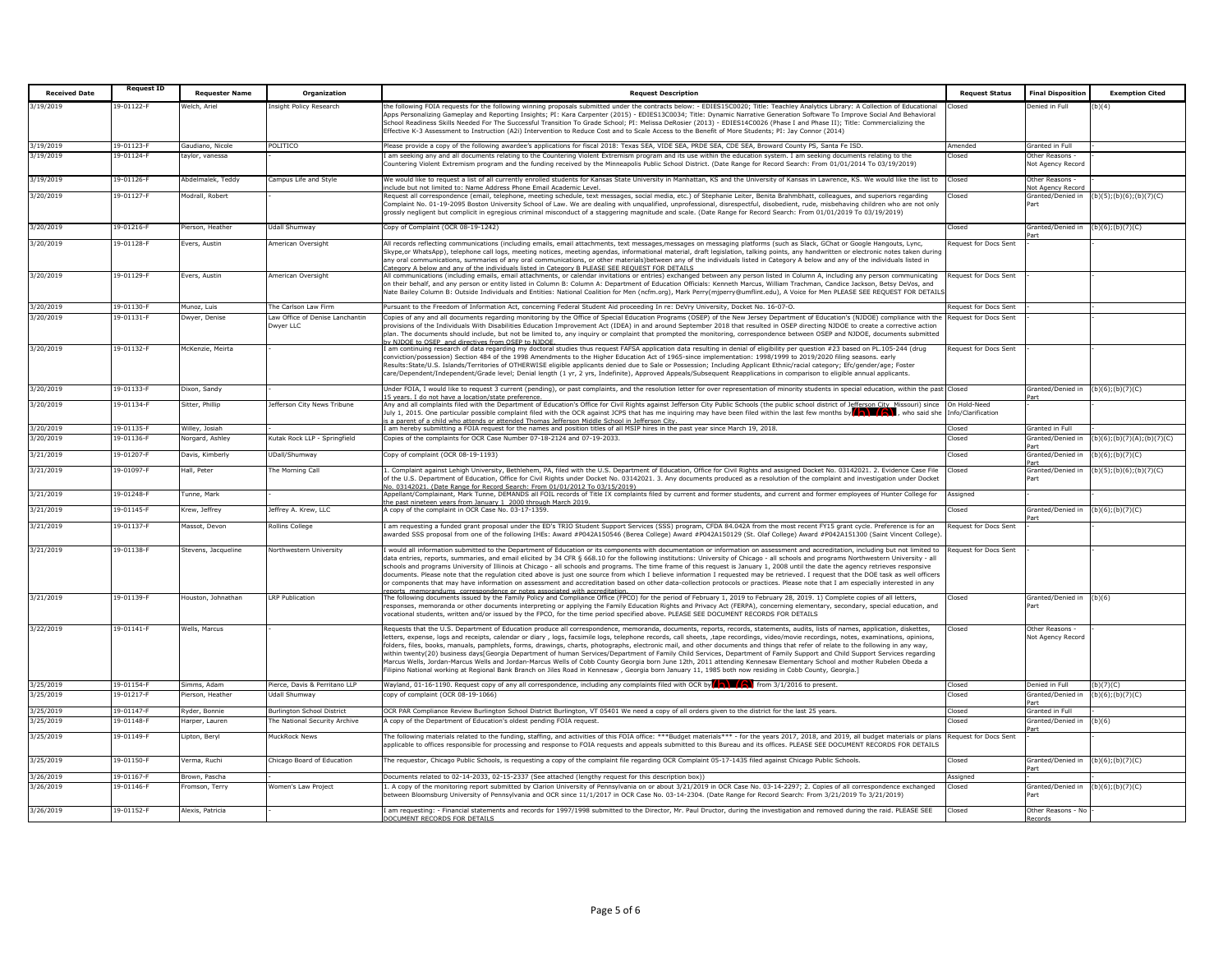| <b>Received Date</b> | <b>Request ID</b> | <b>Requester Name</b> | Organization                                 | <b>Request Description</b>                                                                                                                                                                                                                                                                                                                                                                                                                                                                                                                                                                                                                                                                                                                                                                                                                                                                       | <b>Request Status</b>            | <b>Final Disposition</b>                     | <b>Exemption Cited</b>     |
|----------------------|-------------------|-----------------------|----------------------------------------------|--------------------------------------------------------------------------------------------------------------------------------------------------------------------------------------------------------------------------------------------------------------------------------------------------------------------------------------------------------------------------------------------------------------------------------------------------------------------------------------------------------------------------------------------------------------------------------------------------------------------------------------------------------------------------------------------------------------------------------------------------------------------------------------------------------------------------------------------------------------------------------------------------|----------------------------------|----------------------------------------------|----------------------------|
| 3/19/2019            | 19-01122-F        | Velch, Ariel          | Insight Policy Research                      | the following FOIA requests for the following winning proposals submitted under the contracts below: - EDIES15C0020; Title: Teachley Analytics Library: A Collection of Educational                                                                                                                                                                                                                                                                                                                                                                                                                                                                                                                                                                                                                                                                                                              | losed                            | Denied in Full                               | (b)(4)                     |
|                      |                   |                       |                                              | Apps Personalizing Gameplay and Reporting Insights; PI: Kara Carpenter (2015) - EDIES13C0034; Title: Dynamic Narrative Generation Software To Improve Social And Behavioral<br>School Readiness Skills Needed For The Successful Transition To Grade School; PI: Melissa DeRosier (2013) - EDIES14C0026 (Phase I and Phase II); Title: Commercializing the<br>Effective K-3 Assessment to Instruction (A2i) Intervention to Reduce Cost and to Scale Access to the Benefit of More Students; PI: Jay Connor (2014)                                                                                                                                                                                                                                                                                                                                                                               |                                  |                                              |                            |
| 3/19/2019            | 19-01123-F        | Gaudiano, Nicole      | POLITICO                                     | Please provide a copy of the following awardee's applications for fiscal 2018: Texas SEA, VIDE SEA, PRDE SEA, CDE SEA, Broward County PS, Santa Fe ISD.                                                                                                                                                                                                                                                                                                                                                                                                                                                                                                                                                                                                                                                                                                                                          | Amended                          | Granted in Full                              |                            |
| 3/19/2019            | 19-01124-F        | tavlor, vanessa       |                                              | am seeking any and all documents relating to the Countering Violent Extremism program and its use within the education system. I am seeking documents relating to the<br>Countering Violent Extremism program and the funding received by the Minneapolis Public School District. (Date Range for Record Search: From 01/01/2014 To 03/19/2019)                                                                                                                                                                                                                                                                                                                                                                                                                                                                                                                                                  | losed                            | Other Reasons -<br>Not Agency Record         |                            |
| 3/19/2019            | 19-01126-F        | Abdelmalek, Teddy     | Campus Life and Style                        | We would like to request a list of all currently enrolled students for Kansas State University in Manhattan, KS and the University of Kansas in Lawrence, KS. We would like the list to                                                                                                                                                                                                                                                                                                                                                                                                                                                                                                                                                                                                                                                                                                          | Closed                           | Other Reasons -                              |                            |
| 3/20/2019            | 19-01127-F        | Modrall, Robert       |                                              | clude but not limited to: Name Address Phone Email Academic Level.<br>Request all correspondence (email, telephone, meeting schedule, text messages, social media, etc.) of Stephanie Leiter, Benita Brahmbhatt, colleagues, and superiors regarding                                                                                                                                                                                                                                                                                                                                                                                                                                                                                                                                                                                                                                             | losed                            | <b>Vot Agency Recor</b><br>Granted/Denied in | (b)(5); (b)(6); (b)(7)(C)  |
|                      |                   |                       |                                              | Complaint No. 01-19-2095 Boston University School of Law. We are dealing with ungualified, unprofessional, disrespectful, disobedient, rude, misbehaving children who are not only<br>grossly negligent but complicit in egregious criminal misconduct of a staggering magnitude and scale. (Date Range for Record Search: From 01/01/2019 To 03/19/2019)                                                                                                                                                                                                                                                                                                                                                                                                                                                                                                                                        |                                  | Part                                         |                            |
| 3/20/2019            | 19-01216-F        | Pierson, Heather      | Udall Shumway                                | Copy of Complaint (OCR 08-19-1242)                                                                                                                                                                                                                                                                                                                                                                                                                                                                                                                                                                                                                                                                                                                                                                                                                                                               | losed                            | Granted/Denied in                            | $(b)(6)$ ; $(b)(7)(C)$     |
| 3/20/2019            | 19-01128-F        | Evers, Austin         | American Oversight                           | All records reflecting communications (including emails, email attachments, text messages,messages on messaging platforms (such as Slack, GChat or Google Hangouts, Lync,                                                                                                                                                                                                                                                                                                                                                                                                                                                                                                                                                                                                                                                                                                                        | lequest for Docs Sent            |                                              |                            |
|                      |                   |                       |                                              | Skype,or WhatsApp), telephone call logs, meeting notices, meeting agendas, informational material, draft legislation, talking points, any handwritten or electronic notes taken during<br>any oral communications, summaries of any oral communications, or other materials)between any of the individuals listed in Category A below and any of the individuals listed in<br>ategory A below and any of the individuals listed in Category B PLEASE SEE REOUEST FOR DETAILS                                                                                                                                                                                                                                                                                                                                                                                                                     |                                  |                                              |                            |
| 3/20/2019            | 19-01129-F        | Evers, Austin         | American Oversight                           | All communications (including emails, email attachments, or calendar invitations or entries) exchanged between any person listed in Column A, including any person communicating                                                                                                                                                                                                                                                                                                                                                                                                                                                                                                                                                                                                                                                                                                                 | Request for Docs Sent            |                                              |                            |
|                      |                   |                       |                                              | on their behalf, and any person or entity listed in Column B: Column A: Department of Education Officials: Kenneth Marcus, William Trachman, Candice Jackson, Betsy DeVos, and<br>Nate Bailey Column B: Outside Individuals and Entities: National Coalition for Men (ncfm.org), Mark Perry(mjperry@umflint.edu), A Voice for Men PLEASE SEE REQUEST FOR DETAIL:                                                                                                                                                                                                                                                                                                                                                                                                                                                                                                                                 |                                  |                                              |                            |
| 3/20/2019            | 19-01130-F        | Munoz, Luis           | The Carlson Law Firm                         | Pursuant to the Freedom of Information Act, concerning Federal Student Aid proceeding In re: DeVry University, Docket No. 16-07-O.                                                                                                                                                                                                                                                                                                                                                                                                                                                                                                                                                                                                                                                                                                                                                               | Request for Docs Sent            |                                              |                            |
| 3/20/2019            | 19-01131-F        | Dwyer, Denise         | Law Office of Denise Lanchantin<br>Dwyer LLC | Copies of any and all documents regarding monitoring by the Office of Special Education Programs (OSEP) of the New Jersey Department of Education's (NJDOE) compliance with the<br>provisions of the Individuals With Disabilities Education Improvement Act (IDEA) in and around September 2018 that resulted in OSEP directing NJDOE to create a corrective action<br>olan. The documents should include, but not be limited to, any inquiry or complaint that prompted the monitoring, correspondence between OSEP and NJDOE, documents submitted<br>v NIDOF to OSEP and directives from OSEP to NIDOF                                                                                                                                                                                                                                                                                        | Request for Docs Sent            |                                              |                            |
| 3/20/2019            | 19-01132-F        | AcKenzie, Meirta      |                                              | am continuing research of data regarding my doctoral studies thus request FAFSA application data resulting in denial of eligibility per question #23 based on PL.105-244 (drug                                                                                                                                                                                                                                                                                                                                                                                                                                                                                                                                                                                                                                                                                                                   | Request for Docs Sent            |                                              |                            |
|                      |                   |                       |                                              | onviction/possession) Section 484 of the 1998 Amendments to the Higher Education Act of 1965-since implementation: 1998/1999 to 2019/2020 filing seasons, early<br>Results:State/U.S. Islands/Territories of OTHERWISE eligible applicants denied due to Sale or Possession; Including Applicant Ethnic/racial category; Efc/gender/age; Foster<br>care/Dependent/Independent/Grade level; Denial length (1 yr, 2 yrs, Indefinite), Approved Appeals/Subsequent Reapplications in comparison to eligible annual applicants.                                                                                                                                                                                                                                                                                                                                                                      |                                  |                                              |                            |
| 3/20/2019            | 19-01133-F        | Dixon, Sandy          |                                              | Under FOIA, I would like to request 3 current (pending), or past complaints, and the resolution letter for over representation of minority students in special education, within the past<br>5 years. I do not have a location/state preference.                                                                                                                                                                                                                                                                                                                                                                                                                                                                                                                                                                                                                                                 | hezol."                          | Granted/Denied in                            | $(b)(6)$ ; $(b)(7)(C)$     |
| 3/20/2019            | 19-01134-F        | Sitter, Phillip       | Jefferson City News Tribune                  | Any and all complaints filed with the Department of Education's Office for Civil Rights against Jefferson City Public Schools (the public school district of Jefferson City Missouri) since<br>July 1, 2015. One particular possi<br>a parent of a child who attends or attended Thomas Jefferson Middle School in Jefferson City.                                                                                                                                                                                                                                                                                                                                                                                                                                                                                                                                                               | n Hold-Need<br>nfo/Clarification |                                              |                            |
| 3/20/2019            | 19-01135-F        | Willey, Josiah        |                                              | I am hereby submitting a FOIA request for the names and position titles of all MSIP hires in the past year since March 19, 2018.                                                                                                                                                                                                                                                                                                                                                                                                                                                                                                                                                                                                                                                                                                                                                                 | Closed                           | <b>Granted in Full</b>                       |                            |
| 3/20/2019            | 19-01136-         | Vorgard, Ashley       | Kutak Rock LLP - Springfield                 | Copies of the complaints for OCR Case Number 07-18-2124 and 07-19-2033.                                                                                                                                                                                                                                                                                                                                                                                                                                                                                                                                                                                                                                                                                                                                                                                                                          | losed                            | Granted/Denied in                            | (b)(6);(b)(7)(A);(b)(7)(C) |
| 3/21/2019            | 19-01207-F        | Davis, Kimberly       | <b>UDall/Shumway</b>                         | Copy of complaint (OCR 08-19-1193)                                                                                                                                                                                                                                                                                                                                                                                                                                                                                                                                                                                                                                                                                                                                                                                                                                                               | losed                            | Granted/Denied in<br>Part                    | $(b)(6)$ ; $(b)(7)(C)$     |
| 3/21/2019            | 19-01097-F        | Hall, Peter           | The Morning Call                             | Complaint against Lehigh University, Bethlehem, PA, filed with the U.S. Department of Education, Office for Civil Rights and assigned Docket No. 03142021. 2. Evidence Case File<br>of the U.S. Department of Education, Office for Civil Rights under Docket No. 03142021. 3. Any documents produced as a resolution of the complaint and investigation under Docket<br>o. 03142021. (Date Range for Record Search: From 01/01/2012 To 03/15/2019)                                                                                                                                                                                                                                                                                                                                                                                                                                              | losed                            | Granted/Denied in<br>Part                    | (b)(5); (b)(6); (b)(7)(C)  |
| 3/21/2019            | 19-01248-F        | Tunne, Mark           |                                              | Appellant/Complainant, Mark Tunne, DEMANDS all FOIL records of Title IX complaints filed by current and former students, and current and former employees of Hunter College for<br>e past nineteen years from January 1 2000 through March 2019.                                                                                                                                                                                                                                                                                                                                                                                                                                                                                                                                                                                                                                                 | Assigned                         |                                              |                            |
| 3/21/2019            | 19-01145-F        | Krew, Jeffrev         | Jeffrey A. Krew, LLC                         | A copy of the complaint in OCR Case No. 03-17-1359.                                                                                                                                                                                                                                                                                                                                                                                                                                                                                                                                                                                                                                                                                                                                                                                                                                              | Closed                           | Granted/Denied in                            | $(b)(6)$ ; $(b)(7)(C)$     |
| 3/21/2019            | 19-01137-F        | Massot, Devon         | tollins College                              | am requesting a funded grant proposal under the ED's TRIO Student Support Services (SSS) program, CFDA 84.042A from the most recent FY15 grant cycle. Preference is for an<br>warded SSS proposal from one of the following IHEs: Award #P042A150546 (Berea College) Award #P042A150129 (St. Olaf College) Award #P042A151300 (Saint Vincent College)                                                                                                                                                                                                                                                                                                                                                                                                                                                                                                                                            | Request for Docs Sent            |                                              |                            |
| 3/21/2019            | 19-01138-F        | Stevens, Jacqueline   | Northwestern University                      | would all information submitted to the Department of Education or its components with documentation or information on assessment and accreditation, including but not limited to                                                                                                                                                                                                                                                                                                                                                                                                                                                                                                                                                                                                                                                                                                                 | lequest for Docs Sent            |                                              |                            |
|                      |                   |                       |                                              | data entries, reports, summaries, and email elicited by 34 CFR § 668.10 for the following institutions: University of Chicago - all schools and programs Northwestern University - all<br>schools and programs University of Illinois at Chicago - all schools and programs. The time frame of this request is January 1, 2008 until the date the agency retrieves responsive<br>documents. Please note that the regulation cited above is just one source from which I believe information I reguested may be retrieved. I request that the DOE task as well officers<br>or components that may have information on assessment and accreditation based on other data-collection protocols or practices. Please note that I am especially interested in any                                                                                                                                      |                                  |                                              |                            |
| 3/21/2019            | 19-01139-F        | Houston, Johnathan    | <b>LRP</b> Publication                       | correspondence or notes associated with accreditatio<br>he following documents issued by the Family Policy and Compliance Office (FPCO) for the period of February 1, 2019 to February 28, 2019. 1) Complete copies of all letters,                                                                                                                                                                                                                                                                                                                                                                                                                                                                                                                                                                                                                                                              | losed                            | Granted/Denied in (b)(6)                     |                            |
|                      |                   |                       |                                              | esponses, memoranda or other documents interpreting or applying the Family Education Rights and Privacy Act (FERPA), concerning elementary, secondary, special education, and<br>rocational students, written and/or issued by the FPCO, for the time period specified above. PLEASE SEE DOCUMENT RECORDS FOR DETAILS                                                                                                                                                                                                                                                                                                                                                                                                                                                                                                                                                                            |                                  | Part                                         |                            |
| 3/22/2019            | 19-01141-F        | Wells, Marcus         |                                              | Requests that the U.S. Department of Education produce all correspondence, memoranda, documents, reports, records, statements, audits, lists of names, application, diskettes,                                                                                                                                                                                                                                                                                                                                                                                                                                                                                                                                                                                                                                                                                                                   | losed                            | Other Reasons -                              |                            |
|                      |                   |                       |                                              | letters, expense, logs and receipts, calendar or diary , logs, facsimile logs, telephone records, call sheets, ,tape recordings, video/movie recordings, notes, examinations, opinions,<br>folders, files, books, manuals, pamphlets, forms, drawings, charts, photographs, electronic mail, and other documents and things that refer of relate to the following in any way,<br>within twenty(20) business days[Georgia Department of human Services/Department of Family Child Services, Department of Family Support and Child Support Services regarding<br>Marcus Wells, Jordan-Marcus Wells and Jordan-Marcus Wells of Cobb County Georgia born June 12th, 2011 attending Kennesaw Elementary School and mother Rubelen Obeda a<br>[.ilipino National working at Regional Bank Branch on Jiles Road in Kennesaw, Georgia born January 11, 1985 both now residing in Cobb County, Georgia.] |                                  | Not Agency Record                            |                            |
| 3/25/2019            | 19-01154-F        | Simms, Adam           | Pierce, Davis & Perritano LLP                | Wayland, 01-16-1190. Request copy of any all correspondence, including any complaints filed with OCR by $\binom{n}{k}$ from 3/1/2016 to present.                                                                                                                                                                                                                                                                                                                                                                                                                                                                                                                                                                                                                                                                                                                                                 | Closed                           | Denied in Full                               | (b)(7)(C)                  |
| 3/25/2019            | 19-01217-         | lerson, Heathe        | Jdall Shumway                                | topy of complaint (OCR 08-19-1066)                                                                                                                                                                                                                                                                                                                                                                                                                                                                                                                                                                                                                                                                                                                                                                                                                                                               | losed:                           | Granted/Denied in                            | $b)(6)$ ;(b)(7)(C)         |
| 3/25/2019            | 19-01147-F        | Ryder, Bonnie         | <b>Burlington School District</b>            | OCR PAR Compliance Review Burlington School District Burlington, VT 05401 We need a copy of all orders given to the district for the last 25 years.                                                                                                                                                                                                                                                                                                                                                                                                                                                                                                                                                                                                                                                                                                                                              | hezol <sup>n</sup>               | int<br>Granted in Full                       |                            |
| 3/25/2019            | 19-01148-F        | Harper, Lauren        | The National Security Archive                | A copy of the Department of Education's oldest pending FOIA request.                                                                                                                                                                                                                                                                                                                                                                                                                                                                                                                                                                                                                                                                                                                                                                                                                             | losed                            | Granted/Denied in                            | (b)(6)                     |
| 3/25/2019            | 19-01149-F        | Lipton, Bervl         | MuckRock News                                | The following materials related to the funding, staffing, and activities of this FOIA office: ***Budget materials*** - for the years 2017, 2018, and 2019, all budget materials or plans                                                                                                                                                                                                                                                                                                                                                                                                                                                                                                                                                                                                                                                                                                         | Request for Docs Sent            |                                              |                            |
| 3/25/2019            | 19-01150-F        | Verma, Ruchi          | Chicago Board of Education                   | applicable to offices responsible for processing and response to FOIA requests and appeals submitted to this Bureau and its offices. PLEASE SEE DOCUMENT RECORDS FOR DETAILS<br>The requestor, Chicago Public Schools, is requesting a copy of the complaint file regarding OCR Complaint 05-17-1435 filed against Chicago Public Schools.                                                                                                                                                                                                                                                                                                                                                                                                                                                                                                                                                       | losed                            | Granted/Denied in                            | $(b)(6)$ ; $(b)(7)(C)$     |
| 3/26/2019            | 19-01167-F        | Brown, Pascha         |                                              |                                                                                                                                                                                                                                                                                                                                                                                                                                                                                                                                                                                                                                                                                                                                                                                                                                                                                                  |                                  |                                              |                            |
| 3/26/2019            | 19-01146-F        | Fromson, Terry        | Women's Law Project                          | Documents related to 02-14-2033, 02-15-2337 (See attached (lengthy request for this description box))<br>1. A copy of the monitoring report submitted by Clarion University of Pennsylvania on or about 3/21/2019 in OCR Case No. 03-14-2297; 2. Copies of all correspondence exchanged                                                                                                                                                                                                                                                                                                                                                                                                                                                                                                                                                                                                          | Assigned<br>Closed               | Granted/Denied in (b)(6);(b)(7)(C)           |                            |
|                      |                   |                       |                                              | between Bloomsburg University of Pennsylvania and OCR since 11/1/2017 in OCR Case No. 03-14-2304. (Date Range for Record Search: From 3/21/2019 To 3/21/2019)                                                                                                                                                                                                                                                                                                                                                                                                                                                                                                                                                                                                                                                                                                                                    |                                  | Part                                         |                            |
| 3/26/2019            | 19-01152-F        | Alexis, Patricia      |                                              | am requesting: - Financial statements and records for 1997/1998 submitted to the Director, Mr. Paul Dructor, during the investigation and removed during the raid. PLEASE SEE<br>OCUMENT RECORDS FOR DETAILS                                                                                                                                                                                                                                                                                                                                                                                                                                                                                                                                                                                                                                                                                     | Closed                           | Other Reasons - No<br>ecords!                |                            |